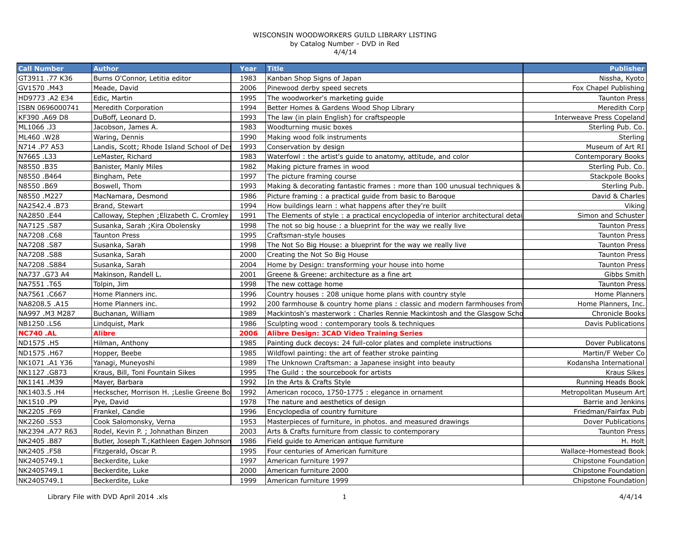| <b>Call Number</b> | <b>Author</b>                             | Year | <b>Title</b>                                                                    | <b>Publisher</b>                 |
|--------------------|-------------------------------------------|------|---------------------------------------------------------------------------------|----------------------------------|
| GT3911 .77 K36     | Burns O'Connor, Letitia editor            | 1983 | Kanban Shop Signs of Japan                                                      | Nissha, Kyoto                    |
| GV1570.M43         | Meade, David                              | 2006 | Pinewood derby speed secrets                                                    | Fox Chapel Publishing            |
| HD9773 .A2 E34     | Edic, Martin                              | 1995 | The woodworker's marketing guide                                                | <b>Taunton Press</b>             |
| ISBN 0696000741    | Meredith Corporation                      | 1994 | Better Homes & Gardens Wood Shop Library                                        | Meredith Corp                    |
| KF390 .A69 D8      | DuBoff, Leonard D.                        | 1993 | The law (in plain English) for craftspeople                                     | <b>Interweave Press Copeland</b> |
| ML1066.J3          | Jacobson, James A.                        | 1983 | Woodturning music boxes                                                         | Sterling Pub. Co.                |
| ML460.W28          | Waring, Dennis                            | 1990 | Making wood folk instruments                                                    | Sterling                         |
| N714 .P7 A53       | Landis, Scott; Rhode Island School of Des | 1993 | Conservation by design                                                          | Museum of Art RI                 |
| N7665.L33          | LeMaster, Richard                         | 1983 | Waterfowl: the artist's guide to anatomy, attitude, and color                   | Contemporary Books               |
| N8550.B35          | Banister, Manly Miles                     | 1982 | Making picture frames in wood                                                   | Sterling Pub. Co.                |
| N8550.B464         | Bingham, Pete                             | 1997 | The picture framing course                                                      | Stackpole Books                  |
| N8550.B69          | Boswell, Thom                             | 1993 | Making & decorating fantastic frames: more than 100 unusual techniques &        | Sterling Pub.                    |
| N8550 .M227        | MacNamara, Desmond                        | 1986 | Picture framing: a practical guide from basic to Baroque                        | David & Charles                  |
| NA2542.4 .B73      | Brand, Stewart                            | 1994 | How buildings learn: what happens after they're built                           | Viking                           |
| NA2850 .E44        | Calloway, Stephen ; Elizabeth C. Cromley  | 1991 | The Elements of style: a practical encyclopedia of interior architectural detai | Simon and Schuster               |
| NA7125.S87         | Susanka, Sarah ; Kira Obolensky           | 1998 | The not so big house: a blueprint for the way we really live                    | <b>Taunton Press</b>             |
| NA7208 .C68        | Taunton Press                             | 1995 | Craftsman-style houses                                                          | <b>Taunton Press</b>             |
| NA7208.S87         | Susanka, Sarah                            | 1998 | The Not So Big House: a blueprint for the way we really live                    | <b>Taunton Press</b>             |
| NA7208.S88         | Susanka, Sarah                            | 2000 | Creating the Not So Big House                                                   | <b>Taunton Press</b>             |
| NA7208.S884        | Susanka, Sarah                            | 2004 | Home by Design: transforming your house into home                               | <b>Taunton Press</b>             |
| NA737 .G73 A4      | Makinson, Randell L.                      | 2001 | Greene & Greene: architecture as a fine art                                     | Gibbs Smith                      |
| NA7551 .T65        | Tolpin, Jim                               | 1998 | The new cottage home                                                            | <b>Taunton Press</b>             |
| NA7561 .C667       | Home Planners inc.                        | 1996 | Country houses: 208 unique home plans with country style                        | Home Planners                    |
| NA8208.5 .A15      | Home Planners inc.                        | 1992 | 200 farmhouse & country home plans: classic and modern farmhouses from          | Home Planners, Inc.              |
| NA997 .M3 M287     | Buchanan, William                         | 1989 | Mackintosh's masterwork: Charles Rennie Mackintosh and the Glasgow Scho         | Chronicle Books                  |
| NB1250 .L56        | Lindquist, Mark                           | 1986 | Sculpting wood: contemporary tools & techniques                                 | Davis Publications               |
| <b>NC740.AL</b>    | Alibre                                    | 2006 | <b>Alibre Design: 3CAD Video Training Series</b>                                |                                  |
| ND1575.H5          | Hilman, Anthony                           | 1985 | Painting duck decoys: 24 full-color plates and complete instructions            | Dover Publicatons                |
| ND1575.H67         | Hopper, Beebe                             | 1985 | Wildfowl painting: the art of feather stroke painting                           | Martin/F Weber Co                |
| NK1071 .A1 Y36     | Yanagi, Muneyoshi                         | 1989 | The Unknown Craftsman: a Japanese insight into beauty                           | Kodansha International           |
| NK1127.G873        | Kraus, Bill, Toni Fountain Sikes          | 1995 | The Guild: the sourcebook for artists                                           | Kraus Sikes                      |
| NK1141 .M39        | Mayer, Barbara                            | 1992 | In the Arts & Crafts Style                                                      | Running Heads Book               |
| NK1403.5 .H4       | Heckscher, Morrison H. ; Leslie Greene Bo | 1992 | American rococo, 1750-1775 : elegance in ornament                               | Metropolitan Museum Art          |
| NK1510.P9          | Pye, David                                | 1978 | The nature and aesthetics of design                                             | Barrie and Jenkins               |
| NK2205.F69         | Frankel, Candie                           | 1996 | Encyclopedia of country furniture                                               | Friedman/Fairfax Pub             |
| NK2260.S53         | Cook Salomonsky, Verna                    | 1953 | Masterpieces of furniture, in photos. and measured drawings                     | Dover Publications               |
| NK2394 .A77 R63    | Rodel, Kevin P. ; Johnathan Binzen        | 2003 | Arts & Crafts furniture from classic to contemporary                            | <b>Taunton Press</b>             |
| NK2405.B87         | Butler, Joseph T.; Kathleen Eagen Johnson | 1986 | Field guide to American antique furniture                                       | H. Holt                          |
| NK2405.F58         | Fitzgerald, Oscar P.                      | 1995 | Four centuries of American furniture                                            | Wallace-Homestead Book           |
| NK2405749.1        | Beckerdite, Luke                          | 1997 | American furniture 1997                                                         | Chipstone Foundation             |
| NK2405749.1        | Beckerdite, Luke                          | 2000 | American furniture 2000                                                         | Chipstone Foundation             |
| NK2405749.1        | Beckerdite, Luke                          | 1999 | American furniture 1999                                                         | Chipstone Foundation             |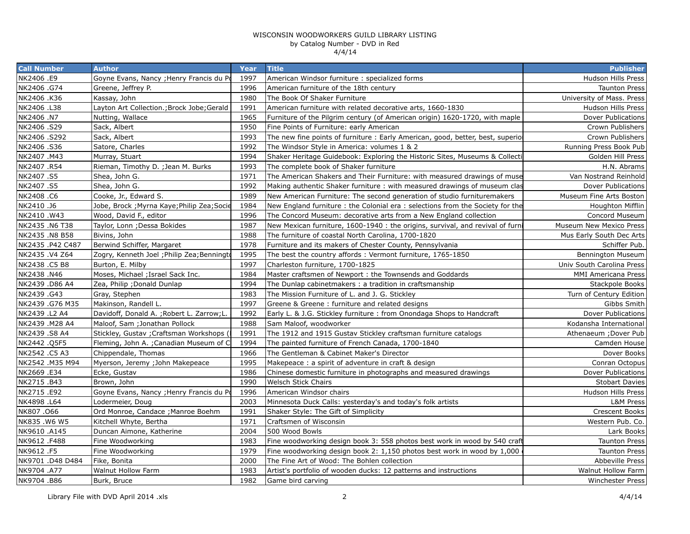| <b>Call Number</b> | <b>Author</b>                               | Year | <b>Title</b>                                                                   | <b>Publisher</b>          |
|--------------------|---------------------------------------------|------|--------------------------------------------------------------------------------|---------------------------|
| NK2406 .E9         | Goyne Evans, Nancy ; Henry Francis du Po    | 1997 | American Windsor furniture : specialized forms                                 | Hudson Hills Press        |
| NK2406.G74         | Greene, Jeffrey P.                          | 1996 | American furniture of the 18th century                                         | <b>Taunton Press</b>      |
| NK2406.K36         | Kassay, John                                | 1980 | The Book Of Shaker Furniture                                                   | University of Mass. Press |
| NK2406 .L38        | Layton Art Collection.; Brock Jobe; Gerald  | 1991 | American furniture with related decorative arts, 1660-1830                     | Hudson Hills Press        |
| NK2406 .N7         | Nutting, Wallace                            | 1965 | Furniture of the Pilgrim century (of American origin) 1620-1720, with maple    | Dover Publications        |
| NK2406.S29         | Sack, Albert                                | 1950 | Fine Points of Furniture: early American                                       | Crown Publishers          |
| NK2406 .S292       | Sack, Albert                                | 1993 | The new fine points of furniture : Early American, good, better, best, superio | Crown Publishers          |
| NK2406.S36         | Satore, Charles                             | 1992 | The Windsor Style in America: volumes 1 & 2                                    | Running Press Book Pub    |
| NK2407.M43         | Murray, Stuart                              | 1994 | Shaker Heritage Guidebook: Exploring the Historic Sites, Museums & Collecti    | Golden Hill Press         |
| NK2407.R54         | Rieman, Timothy D. ; Jean M. Burks          | 1993 | The complete book of Shaker furniture                                          | H.N. Abrams               |
| NK2407.S5          | Shea, John G.                               | 1971 | The American Shakers and Their Furniture: with measured drawings of muse       | Van Nostrand Reinhold     |
| NK2407.S5          | Shea, John G.                               | 1992 | Making authentic Shaker furniture: with measured drawings of museum clas       | Dover Publications        |
| NK2408.C6          | Cooke, Jr., Edward S.                       | 1989 | New American Furniture: The second generation of studio furnituremakers        | Museum Fine Arts Boston   |
| NK2410.J6          | Jobe, Brock ; Myrna Kaye; Philip Zea; Socie | 1984 | New England furniture: the Colonial era: selections from the Society for the   | Houghton Mifflin          |
| NK2410.W43         | Wood, David F., editor                      | 1996 | The Concord Museum: decorative arts from a New England collection              | Concord Museum            |
| NK2435 .N6 T38     | Taylor, Lonn ; Dessa Bokides                | 1987 | New Mexican furniture, 1600-1940 : the origins, survival, and revival of furn  | Museum New Mexico Press   |
| NK2435 .N8 B58     | Bivins, John                                | 1988 | The furniture of coastal North Carolina, 1700-1820                             | Mus Early South Dec Arts  |
| NK2435 .P42 C487   | Berwind Schiffer, Margaret                  | 1978 | Furniture and its makers of Chester County, Pennsylvania                       | Schiffer Pub.             |
| NK2435.V4 Z64      | Zogry, Kenneth Joel ; Philip Zea; Benningt  | 1995 | The best the country affords: Vermont furniture, 1765-1850                     | Bennington Museum         |
| NK2438 .C5 B8      | Burton, E. Milby                            | 1997 | Charleston furniture, 1700-1825                                                | Univ South Carolina Press |
| NK2438.N46         | Moses, Michael ; Israel Sack Inc.           | 1984 | Master craftsmen of Newport : the Townsends and Goddards                       | MMI Americana Press       |
| NK2439 .D86 A4     | Zea, Philip ; Donald Dunlap                 | 1994 | The Dunlap cabinetmakers: a tradition in craftsmanship                         | Stackpole Books           |
| NK2439.G43         | Gray, Stephen                               | 1983 | The Mission Furniture of L. and J. G. Stickley                                 | Turn of Century Edition   |
| NK2439 .G76 M35    | Makinson, Randell L.                        | 1997 | Greene & Greene: furniture and related designs                                 | Gibbs Smith               |
| NK2439 .L2 A4      | Davidoff, Donald A. ; Robert L. Zarrow; L.  | 1992 | Early L. & J.G. Stickley furniture : from Onondaga Shops to Handcraft          | Dover Publications        |
| NK2439 .M28 A4     | Maloof, Sam ; Jonathan Pollock              | 1988 | Sam Maloof, woodworker                                                         | Kodansha International    |
| NK2439 .S8 A4      | Stickley, Gustav ; Craftsman Workshops (I   | 1991 | The 1912 and 1915 Gustav Stickley craftsman furniture catalogs                 | Athenaeum ; Dover Pub     |
| NK2442.Q5F5        | Fleming, John A. ; Canadian Museum of C     | 1994 | The painted furniture of French Canada, 1700-1840                              | Camden House              |
| NK2542 .C5 A3      | Chippendale, Thomas                         | 1966 | The Gentleman & Cabinet Maker's Director                                       | Dover Books               |
| NK2542 .M35 M94    | Myerson, Jeremy ; John Makepeace            | 1995 | Makepeace: a spirit of adventure in craft & design                             | Conran Octopus            |
| NK2669 .E34        | Ecke, Gustav                                | 1986 | Chinese domestic furniture in photographs and measured drawings                | Dover Publications        |
| NK2715.B43         | Brown, John                                 | 1990 | <b>Welsch Stick Chairs</b>                                                     | <b>Stobart Davies</b>     |
| NK2715.E92         | Goyne Evans, Nancy ; Henry Francis du Po    | 1996 | American Windsor chairs                                                        | Hudson Hills Press        |
| NK4898 .L64        | Lodermeier, Doug                            | 2003 | Minnesota Duck Calls: yesterday's and today's folk artists                     | L&M Press                 |
| NK807.066          | Ord Monroe, Candace ; Manroe Boehm          | 1991 | Shaker Style: The Gift of Simplicity                                           | <b>Crescent Books</b>     |
| NK835.W6 W5        | Kitchell Whyte, Bertha                      | 1971 | Craftsmen of Wisconsin                                                         | Western Pub. Co.          |
| NK9610 .A145       | Duncan Aimone, Katherine                    | 2004 | 500 Wood Bowls                                                                 | Lark Books                |
| NK9612.F488        | Fine Woodworking                            | 1983 | Fine woodworking design book 3: 558 photos best work in wood by 540 craft      | <b>Taunton Press</b>      |
| NK9612.F5          | Fine Woodworking                            | 1979 | Fine woodworking design book 2: 1,150 photos best work in wood by 1,000        | <b>Taunton Press</b>      |
| NK9701 .D48 D484   | Fike, Bonita                                | 2000 | The Fine Art of Wood: The Bohlen collection                                    | Abbeville Press           |
| NK9704 .A77        | Walnut Hollow Farm                          | 1983 | Artist's portfolio of wooden ducks: 12 patterns and instructions               | Walnut Hollow Farm        |
| NK9704.B86         | Burk, Bruce                                 | 1982 | Game bird carving                                                              | <b>Winchester Press</b>   |
|                    |                                             |      |                                                                                |                           |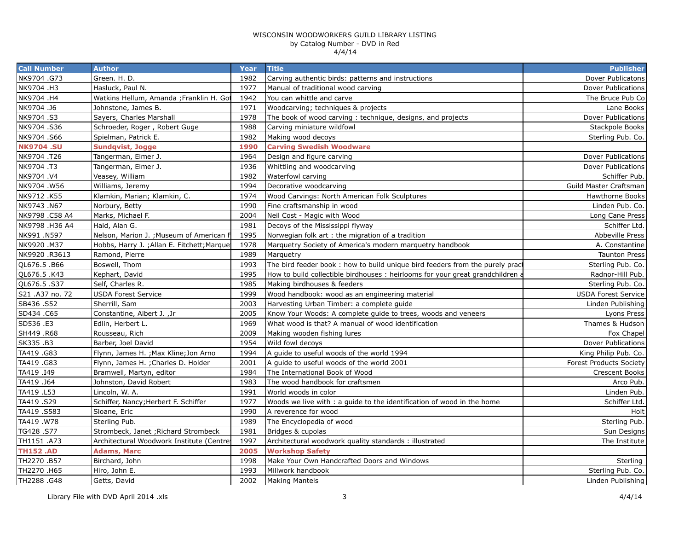| <b>Call Number</b> | <b>Author</b>                               | Year | <b>Title</b>                                                                  | <b>Publisher</b>               |
|--------------------|---------------------------------------------|------|-------------------------------------------------------------------------------|--------------------------------|
| NK9704.G73         | Green. H. D.                                | 1982 | Carving authentic birds: patterns and instructions                            | Dover Publicatons              |
| NK9704 .H3         | Hasluck, Paul N.                            | 1977 | Manual of traditional wood carving                                            | Dover Publications             |
| NK9704 .H4         | Watkins Hellum, Amanda ; Franklin H. Got    | 1942 | You can whittle and carve                                                     | The Bruce Pub Co               |
| NK9704.J6          | Johnstone, James B.                         | 1971 | Woodcarving; techniques & projects                                            | Lane Books                     |
| NK9704.S3          | Sayers, Charles Marshall                    | 1978 | The book of wood carving: technique, designs, and projects                    | <b>Dover Publications</b>      |
| NK9704.S36         | Schroeder, Roger, Robert Guge               | 1988 | Carving miniature wildfowl                                                    | Stackpole Books                |
| NK9704.S66         | Spielman, Patrick E.                        | 1982 | Making wood decoys                                                            | Sterling Pub. Co.              |
| <b>NK9704.SU</b>   | <b>Sundqvist, Jogge</b>                     | 1990 | <b>Carving Swedish Woodware</b>                                               |                                |
| NK9704.T26         | Tangerman, Elmer J.                         | 1964 | Design and figure carving                                                     | <b>Dover Publications</b>      |
| NK9704 .T3         | Tangerman, Elmer J.                         | 1936 | Whittling and woodcarving                                                     | <b>Dover Publications</b>      |
| NK9704.V4          | Veasey, William                             | 1982 | <b>Waterfowl carving</b>                                                      | Schiffer Pub.                  |
| NK9704.W56         | Williams, Jeremy                            | 1994 | Decorative woodcarving                                                        | Guild Master Craftsman         |
| NK9712 .K55        | Klamkin, Marian; Klamkin, C.                | 1974 | Wood Carvings: North American Folk Sculptures                                 | <b>Hawthorne Books</b>         |
| NK9743.N67         | Norbury, Betty                              | 1990 | Fine craftsmanship in wood                                                    | Linden Pub. Co.                |
| NK9798 .C58 A4     | Marks, Michael F.                           | 2004 | Neil Cost - Magic with Wood                                                   | Long Cane Press                |
| NK9798 .H36 A4     | Haid, Alan G.                               | 1981 | Decoys of the Mississippi flyway                                              | Schiffer Ltd.                  |
| NK991 .N597        | Nelson, Marion J. ; Museum of American      | 1995 | Norwegian folk art : the migration of a tradition                             | <b>Abbeville Press</b>         |
| NK9920.M37         | Hobbs, Harry J. ; Allan E. Fitchett; Marque | 1978 | Marquetry Society of America's modern marquetry handbook                      | A. Constantine                 |
| NK9920 .R3613      | Ramond, Pierre                              | 1989 | Marquetry                                                                     | <b>Taunton Press</b>           |
| QL676.5 .B66       | Boswell, Thom                               | 1993 | The bird feeder book : how to build unique bird feeders from the purely pract | Sterling Pub. Co.              |
| QL676.5 .K43       | Kephart, David                              | 1995 | How to build collectible birdhouses: heirlooms for your great grandchildren a | Radnor-Hill Pub.               |
| QL676.5.S37        | Self, Charles R.                            | 1985 | Making birdhouses & feeders                                                   | Sterling Pub. Co.              |
| S21 .A37 no. 72    | <b>USDA Forest Service</b>                  | 1999 | Wood handbook: wood as an engineering material                                | <b>USDA Forest Service</b>     |
| SB436 .S52         | Sherrill, Sam                               | 2003 | Harvesting Urban Timber: a complete guide                                     | Linden Publishing              |
| SD434 .C65         | Constantine, Albert J., Jr.                 | 2005 | Know Your Woods: A complete guide to trees, woods and veneers                 | Lyons Press                    |
| SD536 .E3          | Edlin, Herbert L.                           | 1969 | What wood is that? A manual of wood identification                            | Thames & Hudson                |
| SH449 .R68         | Rousseau, Rich                              | 2009 | Making wooden fishing lures                                                   | Fox Chapel                     |
| SK335.B3           | Barber, Joel David                          | 1954 | Wild fowl decoys                                                              | <b>Dover Publications</b>      |
| TA419 .G83         | Flynn, James H. ; Max Kline; Jon Arno       | 1994 | A quide to useful woods of the world 1994                                     | King Philip Pub. Co.           |
| TA419 .G83         | Flynn, James H. ; Charles D. Holder         | 2001 | A guide to useful woods of the world 2001                                     | <b>Forest Products Society</b> |
| TA419 .I49         | Bramwell, Martyn, editor                    | 1984 | The International Book of Wood                                                | <b>Crescent Books</b>          |
| TA419 .J64         | Johnston, David Robert                      | 1983 | The wood handbook for craftsmen                                               | Arco Pub.                      |
| TA419 .L53         | Lincoln, W. A.                              | 1991 | World woods in color                                                          | Linden Pub.                    |
| TA419.S29          | Schiffer, Nancy; Herbert F. Schiffer        | 1977 | Woods we live with : a guide to the identification of wood in the home        | Schiffer Ltd.                  |
| TA419.S583         | Sloane, Eric                                | 1990 | A reverence for wood                                                          | Holt                           |
| TA419.W78          | Sterling Pub.                               | 1989 | The Encyclopedia of wood                                                      | Sterling Pub.                  |
| TG428.S77          | Strombeck, Janet ; Richard Strombeck        | 1981 | Bridges & cupolas                                                             | Sun Designs                    |
| TH1151 .A73        | Architectural Woodwork Institute (Centre    | 1997 | Architectural woodwork quality standards : illustrated                        | The Institute                  |
| <b>TH152.AD</b>    | <b>Adams, Marc</b>                          | 2005 | <b>Workshop Safety</b>                                                        |                                |
| TH2270.B57         | Birchard, John                              | 1998 | Make Your Own Handcrafted Doors and Windows                                   | Sterling                       |
| TH2270 .H65        | Hiro, John E.                               | 1993 | Millwork handbook                                                             | Sterling Pub. Co.              |
| TH2288.G48         | Getts, David                                | 2002 | <b>Making Mantels</b>                                                         | Linden Publishing              |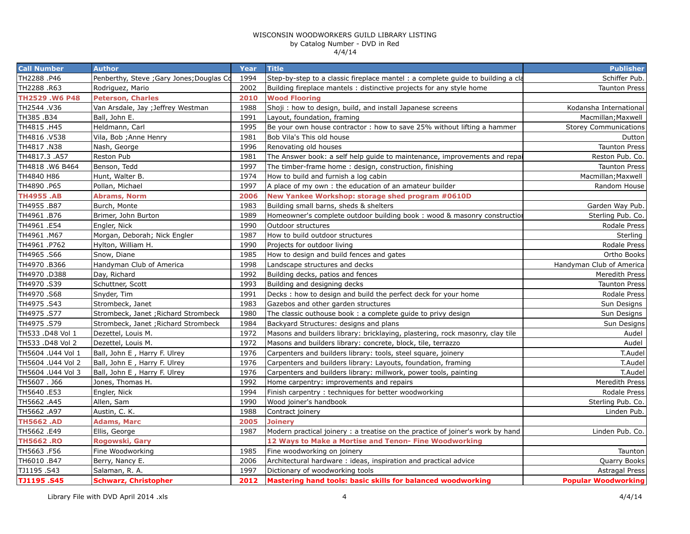| <b>Call Number</b> | <b>Author</b>                             | Year | <b>Title</b>                                                                   | <b>Publisher</b>             |
|--------------------|-------------------------------------------|------|--------------------------------------------------------------------------------|------------------------------|
| TH2288.P46         | Penberthy, Steve ; Gary Jones; Douglas Co | 1994 | Step-by-step to a classic fireplace mantel: a complete guide to building a cla | Schiffer Pub.                |
| TH2288 .R63        | Rodriguez, Mario                          | 2002 | Building fireplace mantels: distinctive projects for any style home            | <b>Taunton Press</b>         |
| TH2529.W6 P48      | <b>Peterson, Charles</b>                  | 2010 | <b>Wood Flooring</b>                                                           |                              |
| TH2544 .V36        | Van Arsdale, Jay ; Jeffrey Westman        | 1988 | Shoji: how to design, build, and install Japanese screens                      | Kodansha International       |
| TH385 .B34         | Ball, John E.                             | 1991 | Layout, foundation, framing                                                    | Macmillan; Maxwell           |
| TH4815 .H45        | Heldmann, Carl                            | 1995 | Be your own house contractor : how to save 25% without lifting a hammer        | <b>Storey Communications</b> |
| TH4816.V538        | Vila, Bob ; Anne Henry                    | 1981 | Bob Vila's This old house                                                      | Dutton                       |
| TH4817.N38         | Nash, George                              | 1996 | Renovating old houses                                                          | <b>Taunton Press</b>         |
| TH4817.3 .A57      | Reston Pub                                | 1981 | The Answer book: a self help quide to maintenance, improvements and repain     | Reston Pub. Co.              |
| TH4818.W6 B464     | Benson, Tedd                              | 1997 | The timber-frame home: design, construction, finishing                         | <b>Taunton Press</b>         |
| TH4840 H86         | Hunt, Walter B.                           | 1974 | How to build and furnish a log cabin                                           | Macmillan; Maxwell           |
| TH4890.P65         | Pollan, Michael                           | 1997 | A place of my own: the education of an amateur builder                         | Random House                 |
| <b>TH4955.AB</b>   | <b>Abrams, Norm</b>                       | 2006 | New Yankee Workshop: storage shed program #0610D                               |                              |
| TH4955 .B87        | Burch, Monte                              | 1983 | Building small barns, sheds & shelters                                         | Garden Way Pub.              |
| TH4961 .B76        | Brimer, John Burton                       | 1989 | Homeowner's complete outdoor building book: wood & masonry construction        | Sterling Pub. Co.            |
| TH4961.E54         | Engler, Nick                              | 1990 | Outdoor structures                                                             | Rodale Press                 |
| TH4961 .M67        | Morgan, Deborah; Nick Engler              | 1987 | How to build outdoor structures                                                | Sterling                     |
| TH4961.P762        | Hylton, William H.                        | 1990 | Projects for outdoor living                                                    | Rodale Press                 |
| TH4965.S66         | Snow, Diane                               | 1985 | How to design and build fences and gates                                       | Ortho Books                  |
| TH4970.B366        | Handyman Club of America                  | 1998 | Landscape structures and decks                                                 | Handyman Club of America     |
| TH4970.D388        | Day, Richard                              | 1992 | Building decks, patios and fences                                              | Meredith Press               |
| TH4970.S39         | Schuttner, Scott                          | 1993 | Building and designing decks                                                   | <b>Taunton Press</b>         |
| TH4970.S68         | Snyder, Tim                               | 1991 | Decks : how to design and build the perfect deck for your home                 | Rodale Press                 |
| TH4975.S43         | Strombeck, Janet                          | 1983 | Gazebos and other garden structures                                            | Sun Designs                  |
| TH4975.S77         | Strombeck, Janet ; Richard Strombeck      | 1980 | The classic outhouse book: a complete guide to privy design                    | Sun Designs                  |
| TH4975.S79         | Strombeck, Janet ; Richard Strombeck      | 1984 | Backyard Structures: designs and plans                                         | Sun Designs                  |
| TH533 .D48 Vol 1   | Dezettel, Louis M.                        | 1972 | Masons and builders library: bricklaying, plastering, rock masonry, clay tile  | Audel                        |
| TH533 .D48 Vol 2   | Dezettel, Louis M.                        | 1972 | Masons and builders library: concrete, block, tile, terrazzo                   | Audel                        |
| TH5604 .U44 Vol 1  | Ball, John E, Harry F. Ulrey              | 1976 | Carpenters and builders library: tools, steel square, joinery                  | T.Audel                      |
| TH5604 .U44 Vol 2  | Ball, John E, Harry F. Ulrey              | 1976 | Carpenters and builders library: Layouts, foundation, framing                  | T.Audel                      |
| TH5604 .U44 Vol 3  | Ball, John E, Harry F. Ulrey              | 1976 | Carpenters and builders library: millwork, power tools, painting               | T.Audel                      |
| TH5607. J66        | Jones, Thomas H.                          | 1992 | Home carpentry: improvements and repairs                                       | Meredith Press               |
| TH5640 .E53        | Engler, Nick                              | 1994 | Finish carpentry: techniques for better woodworking                            | Rodale Press                 |
| TH5662.A45         | Allen, Sam                                | 1990 | Wood joiner's handbook                                                         | Sterling Pub. Co.            |
| TH5662 .A97        | Austin, C. K.                             | 1988 | Contract joinery                                                               | Linden Pub.                  |
| <b>TH5662.AD</b>   | <b>Adams, Marc</b>                        | 2005 | <b>Joinery</b>                                                                 |                              |
| TH5662 .E49        | Ellis, George                             | 1987 | Modern practical joinery : a treatise on the practice of joiner's work by hand | Linden Pub. Co.              |
| <b>TH5662.RO</b>   | Rogowski, Gary                            |      | 12 Ways to Make a Mortise and Tenon- Fine Woodworking                          |                              |
| TH5663.F56         | Fine Woodworking                          | 1985 | Fine woodworking on joinery                                                    | Taunton                      |
| TH6010 .B47        | Berry, Nancy E.                           | 2006 | Architectural hardware: ideas, inspiration and practical advice                | Quarry Books                 |
| TJ1195.S43         | Salaman, R. A.                            | 1997 | Dictionary of woodworking tools                                                | <b>Astragal Press</b>        |
| TJ1195.S45         | <b>Schwarz, Christopher</b>               | 2012 | Mastering hand tools: basic skills for balanced woodworking                    | <b>Popular Woodworking</b>   |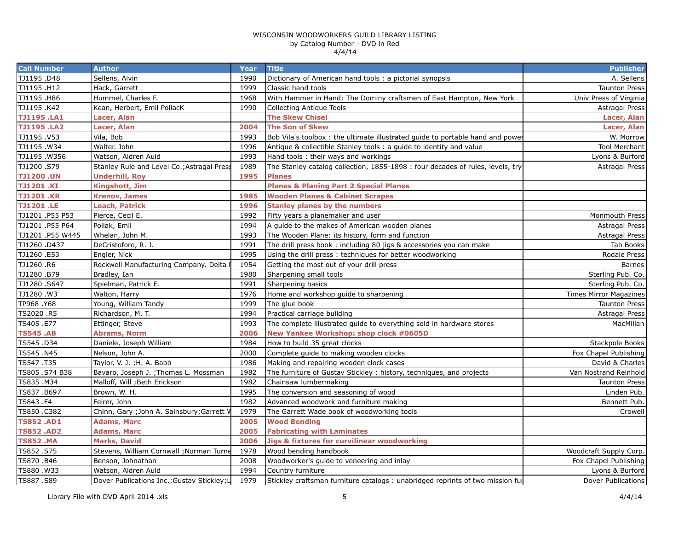| <b>Call Number</b> | <b>Author</b>                               | Year | <b>Title</b>                                                                    | <b>Publisher</b>       |
|--------------------|---------------------------------------------|------|---------------------------------------------------------------------------------|------------------------|
| TJ1195.D48         | Sellens, Alvin                              | 1990 | Dictionary of American hand tools: a pictorial synopsis                         | A. Sellens             |
| TJ1195.H12         | Hack, Garrett                               | 1999 | Classic hand tools                                                              | <b>Taunton Press</b>   |
| TJ1195.H86         | Hummel, Charles F.                          | 1968 | With Hammer in Hand: The Dominy craftsmen of East Hampton, New York             | Univ Press of Virginia |
| TJ1195.K42         | Kean, Herbert, Emil PollacK                 | 1990 | <b>Collecting Antique Tools</b>                                                 | <b>Astragal Press</b>  |
| <b>TJ1195.LA1</b>  | Lacer, Alan                                 |      | <b>The Skew Chisel</b>                                                          | Lacer, Alan            |
| <b>TJ1195.LA2</b>  | Lacer, Alan                                 | 2004 | <b>The Son of Skew</b>                                                          | Lacer, Alan            |
| TJ1195.V53         | Vila, Bob                                   | 1993 | Bob Vila's toolbox: the ultimate illustrated guide to portable hand and power   | W. Morrow              |
| TJ1195.W34         | Walter. John                                | 1996 | Antique & collectible Stanley tools: a quide to identity and value              | <b>Tool Merchant</b>   |
| TJ1195.W356        | Watson, Aldren Auld                         | 1993 | Hand tools: their ways and workings                                             | Lyons & Burford        |
| TJ1200.S79         | Stanley Rule and Level Co.; Astragal Press  | 1989 | The Stanley catalog collection, 1855-1898 : four decades of rules, levels, try- | <b>Astragal Press</b>  |
| <b>TJ1200.UN</b>   | <b>Underhill, Roy</b>                       | 1995 | <b>Planes</b>                                                                   |                        |
| <b>TJ1201.KI</b>   | Kingshott, Jim                              |      | <b>Planes &amp; Planing Part 2 Special Planes</b>                               |                        |
| <b>TJ1201.KR</b>   | <b>Krenov, James</b>                        | 1985 | <b>Wooden Planes &amp; Cabinet Scrapes</b>                                      |                        |
| <b>TJ1201.LE</b>   | <b>Leach, Patrick</b>                       | 1996 | <b>Stanley planes by the numbers</b>                                            |                        |
| TJ1201 .P55 P53    | Pierce, Cecil E.                            | 1992 | Fifty years a planemaker and user                                               | Monmouth Press         |
| TJ1201.P55 P64     | Pollak, Emil                                | 1994 | A guide to the makes of American wooden planes                                  | <b>Astragal Press</b>  |
| TJ1201 .P55 W445   | Whelan, John M.                             | 1993 | The Wooden Plane: its history, form and function                                | Astragal Press         |
| TJ1260.D437        | DeCristoforo, R. J.                         | 1991 | The drill press book: including 80 jigs & accessories you can make              | Tab Books              |
| TJ1260.E53         | Engler, Nick                                | 1995 | Using the drill press: techniques for better woodworking                        | <b>Rodale Press</b>    |
| TJ1260 .R6         | Rockwell Manufacturing Company. Delta       | 1954 | Getting the most out of your drill press                                        | <b>Barnes</b>          |
| TJ1280.B79         | Bradley, Ian                                | 1980 | Sharpening small tools                                                          | Sterling Pub. Co.      |
| TJ1280.S647        | Spielman, Patrick E.                        | 1991 | Sharpening basics                                                               | Sterling Pub. Co.      |
| TJ1280.W3          | Walton, Harry                               | 1976 | Home and workshop guide to sharpening                                           | Times Mirror Magazines |
| TP968.Y68          | Young, William Tandy                        | 1999 | The glue book                                                                   | <b>Taunton Press</b>   |
| TS2020 .R5         | Richardson, M. T.                           | 1994 | Practical carriage building                                                     | <b>Astragal Press</b>  |
| TS405.E77          | Ettinger, Steve                             | 1993 | The complete illustrated guide to everything sold in hardware stores            | MacMillan              |
| <b>TS545.AB</b>    | <b>Abrams, Norm</b>                         | 2006 | New Yankee Workshop: shop clock #0605D                                          |                        |
| TS545 .D34         | Daniele, Joseph William                     | 1984 | How to build 35 great clocks                                                    | Stackpole Books        |
| TS545.N45          | Nelson, John A.                             | 2000 | Complete guide to making wooden clocks                                          | Fox Chapel Publishing  |
| TS547.T35          | Taylor, V. J.; H. A. Babb                   | 1986 | Making and repairing wooden clock cases                                         | David & Charles        |
| TS805 .S74 B38     | Bavaro, Joseph J.; Thomas L. Mossman        | 1982 | The furniture of Gustav Stickley : history, techniques, and projects            | Van Nostrand Reinhold  |
| TS835.M34          | Malloff, Will ; Beth Erickson               | 1982 | Chainsaw lumbermaking                                                           | <b>Taunton Press</b>   |
| TS837.B697         | Brown, W. H.                                | 1995 | The conversion and seasoning of wood                                            | Linden Pub.            |
| TS843.F4           | Feirer, John                                | 1982 | Advanced woodwork and furniture making                                          | Bennett Pub.           |
| TS850.C382         | Chinn, Gary ; John A. Sainsbury; Garrett V  | 1979 | The Garrett Wade book of woodworking tools                                      | Crowell                |
| <b>TS852.AD1</b>   | <b>Adams, Marc</b>                          | 2005 | <b>Wood Bending</b>                                                             |                        |
| <b>TS852.AD2</b>   | <b>Adams, Marc</b>                          | 2005 | <b>Fabricating with Laminates</b>                                               |                        |
| <b>TS852.MA</b>    | <b>Marks, David</b>                         | 2006 | <b>Jigs &amp; fixtures for curvilinear woodworking</b>                          |                        |
| TS852.S75          | Stevens, William Cornwall ; Norman Turne    | 1978 | Wood bending handbook                                                           | Woodcraft Supply Corp. |
| TS870.B46          | Benson, Johnathan                           | 2008 | Woodworker's guide to veneering and inlay                                       | Fox Chapel Publishing  |
| TS880.W33          | Watson, Aldren Auld                         | 1994 | Country furniture                                                               | Lyons & Burford        |
| TS887.S89          | Dover Publications Inc.; Gustav Stickley; L | 1979 | Stickley craftsman furniture catalogs: unabridged reprints of two mission fur   | Dover Publications     |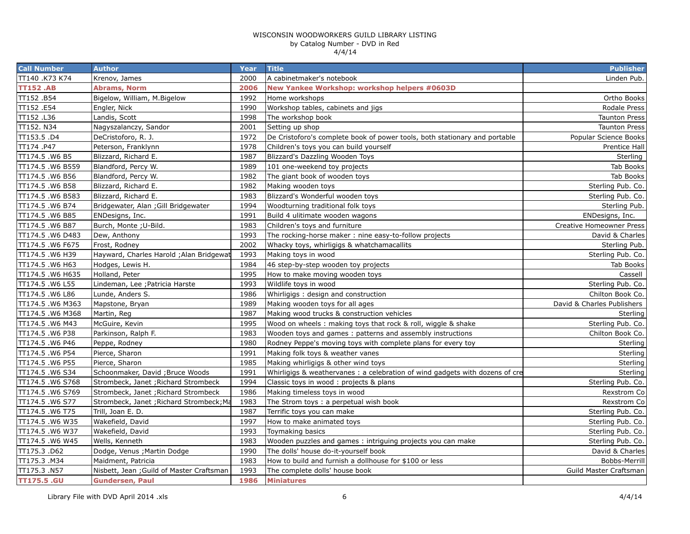| <b>Call Number</b> | <b>Author</b>                             | Year | <b>Title</b>                                                                 | <b>Publisher</b>                |
|--------------------|-------------------------------------------|------|------------------------------------------------------------------------------|---------------------------------|
| TT140 .K73 K74     | Krenov, James                             | 2000 | A cabinet maker's notebook                                                   | Linden Pub.                     |
| <b>TT152.AB</b>    | <b>Abrams, Norm</b>                       | 2006 | New Yankee Workshop: workshop helpers #0603D                                 |                                 |
| TT152.B54          | Bigelow, William, M.Bigelow               | 1992 | Home workshops                                                               | Ortho Books                     |
| TT152.E54          | Engler, Nick                              | 1990 | Workshop tables, cabinets and jigs                                           | Rodale Press                    |
| TT152.L36          | Landis, Scott                             | 1998 | The workshop book                                                            | <b>Taunton Press</b>            |
| TT152. N34         | Nagyszalanczy, Sandor                     | 2001 | Setting up shop                                                              | <b>Taunton Press</b>            |
| TT153.5 .D4        | DeCristoforo, R. J.                       | 1972 | De Cristoforo's complete book of power tools, both stationary and portable   | Popular Science Books           |
| TT174.P47          | Peterson, Franklynn                       | 1978 | Children's toys you can build yourself                                       | Prentice Hall                   |
| TT174.5 .W6 B5     | Blizzard, Richard E.                      | 1987 | Blizzard's Dazzling Wooden Toys                                              | Sterling                        |
| TT174.5.W6 B559    | Blandford, Percy W.                       | 1989 | 101 one-weekend toy projects                                                 | Tab Books                       |
| TT174.5 .W6 B56    | Blandford, Percy W.                       | 1982 | The giant book of wooden toys                                                | Tab Books                       |
| TT174.5 .W6 B58    | Blizzard, Richard E.                      | 1982 | Making wooden toys                                                           | Sterling Pub. Co.               |
| TT174.5 .W6 B583   | Blizzard, Richard E.                      | 1983 | Blizzard's Wonderful wooden toys                                             | Sterling Pub. Co.               |
| TT174.5 .W6 B74    | Bridgewater, Alan ; Gill Bridgewater      | 1994 | Woodturning traditional folk toys                                            | Sterling Pub.                   |
| TT174.5 .W6 B85    | ENDesigns, Inc.                           | 1991 | Build 4 ulitimate wooden wagons                                              | ENDesigns, Inc.                 |
| TT174.5 .W6 B87    | Burch, Monte; U-Bild.                     | 1983 | Children's toys and furniture                                                | <b>Creative Homeowner Press</b> |
| TT174.5 .W6 D483   | Dew, Anthony                              | 1993 | The rocking-horse maker: nine easy-to-follow projects                        | David & Charles                 |
| TT174.5 .W6 F675   | Frost, Rodney                             | 2002 | Whacky toys, whirligigs & whatchamacallits                                   | Sterling Pub.                   |
| TT174.5 .W6 H39    | Hayward, Charles Harold ; Alan Bridgewat  | 1993 | Making toys in wood                                                          | Sterling Pub. Co.               |
| TT174.5 .W6 H63    | Hodges, Lewis H.                          | 1984 | 46 step-by-step wooden toy projects                                          | Tab Books                       |
| TT174.5 .W6 H635   | Holland, Peter                            | 1995 | How to make moving wooden toys                                               | Cassell                         |
| TT174.5 .W6 L55    | Lindeman, Lee ; Patricia Harste           | 1993 | Wildlife toys in wood                                                        | Sterling Pub. Co.               |
| TT174.5 .W6 L86    | Lunde, Anders S.                          | 1986 | Whirligigs: design and construction                                          | Chilton Book Co.                |
| TT174.5 .W6 M363   | Mapstone, Bryan                           | 1989 | Making wooden toys for all ages                                              | David & Charles Publishers      |
| TT174.5 .W6 M368   | Martin, Reg                               | 1987 | Making wood trucks & construction vehicles                                   | Sterling                        |
| TT174.5 .W6 M43    | McGuire, Kevin                            | 1995 | Wood on wheels: making toys that rock & roll, wiggle & shake                 | Sterling Pub. Co.               |
| TT174.5 .W6 P38    | Parkinson, Ralph F.                       | 1983 | Wooden toys and games: patterns and assembly instructions                    | Chilton Book Co.                |
| TT174.5 .W6 P46    | Peppe, Rodney                             | 1980 | Rodney Peppe's moving toys with complete plans for every toy                 | Sterling                        |
| TT174.5 .W6 P54    | Pierce, Sharon                            | 1991 | Making folk toys & weather vanes                                             | Sterling                        |
| TT174.5 .W6 P55    | Pierce, Sharon                            | 1985 | Making whirligigs & other wind toys                                          | Sterling                        |
| TT174.5 .W6 S34    | Schoonmaker, David ; Bruce Woods          | 1991 | Whirligigs & weathervanes : a celebration of wind gadgets with dozens of cre | Sterling                        |
| TT174.5 .W6 S768   | Strombeck, Janet ; Richard Strombeck      | 1994 | Classic toys in wood: projects & plans                                       | Sterling Pub. Co.               |
| TT174.5 .W6 S769   | Strombeck, Janet ; Richard Strombeck      | 1986 | Making timeless toys in wood                                                 | Rexstrom Co                     |
| TT174.5 .W6 S77    | Strombeck, Janet ; Richard Strombeck; Ma  | 1983 | The Strom toys: a perpetual wish book                                        | Rexstrom Co                     |
| TT174.5 .W6 T75    | Trill, Joan E. D.                         | 1987 | Terrific toys you can make                                                   | Sterling Pub. Co.               |
| TT174.5.W6 W35     | Wakefield, David                          | 1997 | How to make animated toys                                                    | Sterling Pub. Co.               |
| TT174.5 .W6 W37    | Wakefield, David                          | 1993 | Toymaking basics                                                             | Sterling Pub. Co.               |
| TT174.5 .W6 W45    | Wells, Kenneth                            | 1983 | Wooden puzzles and games: intriguing projects you can make                   | Sterling Pub. Co.               |
| TT175.3.D62        | Dodge, Venus ; Martin Dodge               | 1990 | The dolls' house do-it-yourself book                                         | David & Charles                 |
| TT175.3 .M34       | Maidment, Patricia                        | 1983 | How to build and furnish a dollhouse for \$100 or less                       | Bobbs-Merrill                   |
| TT175.3 .N57       | Nisbett, Jean ; Guild of Master Craftsman | 1993 | The complete dolls' house book                                               | Guild Master Craftsman          |
| <b>TT175.5 .GU</b> | <b>Gundersen, Paul</b>                    | 1986 | <b>Miniatures</b>                                                            |                                 |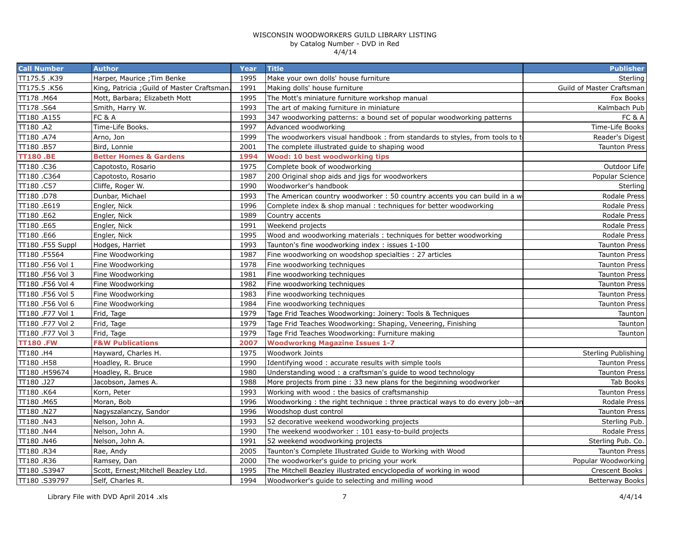| <b>Call Number</b> | <b>Author</b>                              | Year | <b>Title</b>                                                               | <b>Publisher</b>          |
|--------------------|--------------------------------------------|------|----------------------------------------------------------------------------|---------------------------|
| TT175.5 .K39       | Harper, Maurice ; Tim Benke                | 1995 | Make your own dolls' house furniture                                       | Sterling                  |
| TT175.5.K56        | King, Patricia ; Guild of Master Craftsman | 1991 | Making dolls' house furniture                                              | Guild of Master Craftsman |
| TT178.M64          | Mott, Barbara; Elizabeth Mott              | 1995 | The Mott's miniature furniture workshop manual                             | Fox Books                 |
| TT178.S64          | Smith, Harry W.                            | 1993 | The art of making furniture in miniature                                   | Kalmbach Pub              |
| TT180.A155         | <b>FC &amp; A</b>                          | 1993 | 347 woodworking patterns: a bound set of popular woodworking patterns      | <b>FC &amp; A</b>         |
| TT180.A2           | Time-Life Books.                           | 1997 | Advanced woodworking                                                       | Time-Life Books           |
| TT180 .A74         | Arno, Jon                                  | 1999 | The woodworkers visual handbook: from standards to styles, from tools to t | Reader's Digest           |
| TT180.B57          | Bird, Lonnie                               | 2001 | The complete illustrated guide to shaping wood                             | <b>Taunton Press</b>      |
| <b>TT180.BE</b>    | <b>Better Homes &amp; Gardens</b>          | 1994 | Wood: 10 best woodworking tips                                             |                           |
| TT180 .C36         | Capotosto, Rosario                         | 1975 | Complete book of woodworking                                               | Outdoor Life              |
| TT180.C364         | Capotosto, Rosario                         | 1987 | 200 Original shop aids and jigs for woodworkers                            | Popular Science           |
| TT180.C57          | Cliffe, Roger W.                           | 1990 | Woodworker's handbook                                                      | Sterling                  |
| TT180.D78          | Dunbar, Michael                            | 1993 | The American country woodworker: 50 country accents you can build in a w   | Rodale Press              |
| TT180 .E619        | Engler, Nick                               | 1996 | Complete index & shop manual: techniques for better woodworking            | Rodale Press              |
| TT180.E62          | Engler, Nick                               | 1989 | Country accents                                                            | Rodale Press              |
| TT180.E65          | Engler, Nick                               | 1991 | Weekend projects                                                           | Rodale Press              |
| TT180 .E66         | Engler, Nick                               | 1995 | Wood and woodworking materials: techniques for better woodworking          | Rodale Press              |
| TT180 .F55 Suppl   | Hodges, Harriet                            | 1993 | Taunton's fine woodworking index: issues 1-100                             | <b>Taunton Press</b>      |
| TT180.F5564        | Fine Woodworking                           | 1987 | Fine woodworking on woodshop specialties : 27 articles                     | <b>Taunton Press</b>      |
| TT180 .F56 Vol 1   | Fine Woodworking                           | 1978 | Fine woodworking techniques                                                | <b>Taunton Press</b>      |
| TT180 .F56 Vol 3   | Fine Woodworking                           | 1981 | Fine woodworking techniques                                                | <b>Taunton Press</b>      |
| TT180 .F56 Vol 4   | Fine Woodworking                           | 1982 | Fine woodworking techniques                                                | <b>Taunton Press</b>      |
| TT180 .F56 Vol 5   | Fine Woodworking                           | 1983 | Fine woodworking techniques                                                | <b>Taunton Press</b>      |
| TT180 .F56 Vol 6   | Fine Woodworking                           | 1984 | Fine woodworking techniques                                                | <b>Taunton Press</b>      |
| TT180 .F77 Vol 1   | Frid, Tage                                 | 1979 | Tage Frid Teaches Woodworking: Joinery: Tools & Techniques                 | Taunton                   |
| TT180 .F77 Vol 2   | Frid, Tage                                 | 1979 | Tage Frid Teaches Woodworking: Shaping, Veneering, Finishing               | Taunton                   |
| TT180 .F77 Vol 3   | Frid, Tage                                 | 1979 | Tage Frid Teaches Woodworking: Furniture making                            | Taunton                   |
| <b>TT180.FW</b>    | <b>F&amp;W Publications</b>                | 2007 | <b>Woodworkng Magazine Issues 1-7</b>                                      |                           |
| TT180 .H4          | Hayward, Charles H.                        | 1975 | Woodwork Joints                                                            | Sterling Publishing       |
| TT180.H58          | Hoadley, R. Bruce                          | 1990 | Identifying wood: accurate results with simple tools                       | <b>Taunton Press</b>      |
| TT180.H59674       | Hoadley, R. Bruce                          | 1980 | Understanding wood: a craftsman's guide to wood technology                 | <b>Taunton Press</b>      |
| TT180 .J27         | Jacobson, James A.                         | 1988 | More projects from pine: 33 new plans for the beginning woodworker         | Tab Books                 |
| TT180 .K64         | Korn, Peter                                | 1993 | Working with wood: the basics of craftsmanship                             | <b>Taunton Press</b>      |
| TT180.M65          | Moran, Bob                                 | 1996 | Woodworking: the right technique: three practical ways to do every job--an | Rodale Press              |
| TT180.N27          | Nagyszalanczy, Sandor                      | 1996 | Woodshop dust control                                                      | <b>Taunton Press</b>      |
| TT180.N43          | Nelson, John A.                            | 1993 | 52 decorative weekend woodworking projects                                 | Sterling Pub.             |
| TT180 .N44         | Nelson, John A.                            | 1990 | The weekend woodworker: 101 easy-to-build projects                         | Rodale Press              |
| TT180.N46          | Nelson, John A.                            | 1991 | 52 weekend woodworking projects                                            | Sterling Pub. Co.         |
| TT180.R34          | Rae, Andy                                  | 2005 | Taunton's Complete Illustrated Guide to Working with Wood                  | <b>Taunton Press</b>      |
| TT180.R36          | Ramsey, Dan                                | 2000 | The woodworker's guide to pricing your work                                | Popular Woodworking       |
| TT180.S3947        | Scott, Ernest; Mitchell Beazley Ltd.       | 1995 | The Mitchell Beazley illustrated encyclopedia of working in wood           | <b>Crescent Books</b>     |
| TT180.S39797       | Self, Charles R.                           | 1994 | Woodworker's guide to selecting and milling wood                           | <b>Betterway Books</b>    |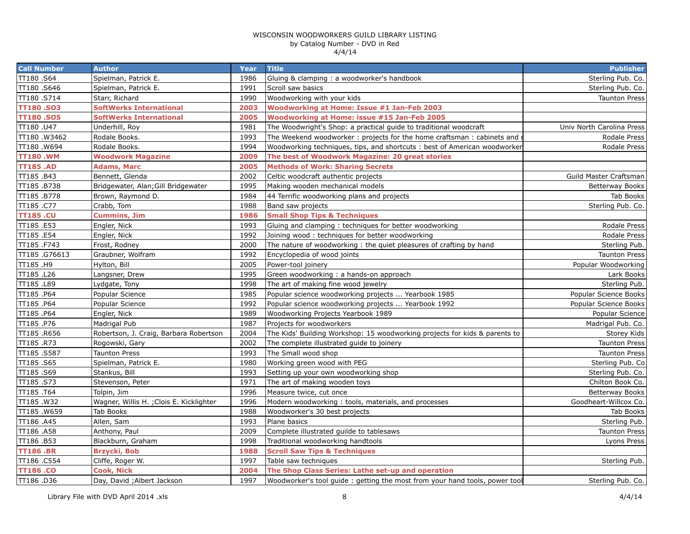| <b>Call Number</b> | <b>Author</b>                            | Year | <b>Title</b>                                                               | <b>Publisher</b>          |
|--------------------|------------------------------------------|------|----------------------------------------------------------------------------|---------------------------|
| TT180.S64          | Spielman, Patrick E.                     | 1986 | Gluing & clamping: a woodworker's handbook                                 | Sterling Pub. Co.         |
| TT180.S646         | Spielman, Patrick E.                     | 1991 | Scroll saw basics                                                          | Sterling Pub. Co.         |
| TT180.S714         | Starr, Richard                           | 1990 | Woodworking with your kids                                                 | <b>Taunton Press</b>      |
| <b>TT180.SO3</b>   | <b>SoftWerks International</b>           | 2003 | Woodworking at Home: Issue #1 Jan-Feb 2003                                 |                           |
| <b>TT180.SO5</b>   | <b>SoftWerks International</b>           | 2005 | Woodworking at Home: issue #15 Jan-Feb 2005                                |                           |
| TT180.U47          | Underhill, Roy                           | 1981 | The Woodwright's Shop: a practical guide to traditional woodcraft          | Univ North Carolina Press |
| TT180.W3462        | Rodale Books.                            | 1993 | The Weekend woodworker: projects for the home craftsman: cabinets and      | Rodale Press              |
| TT180.W694         | Rodale Books.                            | 1994 | Woodworking techniques, tips, and shortcuts: best of American woodworker   | Rodale Press              |
| <b>TT180.WM</b>    | <b>Woodwork Magazine</b>                 | 2009 | The best of Woodwork Magazine: 20 great stories                            |                           |
| <b>TT185.AD</b>    | <b>Adams, Marc</b>                       | 2005 | <b>Methods of Work: Sharing Secrets</b>                                    |                           |
| TT185.B43          | Bennett, Glenda                          | 2002 | Celtic woodcraft authentic projects                                        | Guild Master Craftsman    |
| TT185.B738         | Bridgewater, Alan; Gill Bridgewater      | 1995 | Making wooden mechanical models                                            | <b>Betterway Books</b>    |
| TT185.B778         | Brown, Raymond D.                        | 1984 | 44 Terrific woodworking plans and projects                                 | Tab Books                 |
| TT185.C77          | Crabb, Tom                               | 1988 | Band saw projects                                                          | Sterling Pub. Co.         |
| <b>TT185.CU</b>    | <b>Cummins, Jim</b>                      | 1986 | <b>Small Shop Tips &amp; Techniques</b>                                    |                           |
| TT185.E53          | Engler, Nick                             | 1993 | Gluing and clamping: techniques for better woodworking                     | Rodale Press              |
| TT185.E54          | Engler, Nick                             | 1992 | Joining wood: techniques for better woodworking                            | Rodale Press              |
| TT185.F743         | Frost, Rodney                            | 2000 | The nature of woodworking: the quiet pleasures of crafting by hand         | Sterling Pub.             |
| TT185.G76613       | Graubner, Wolfram                        | 1992 | Encyclopedia of wood joints                                                | <b>Taunton Press</b>      |
| TT185 .H9          | Hylton, Bill                             | 2005 | Power-tool joinery                                                         | Popular Woodworking       |
| TT185 .L26         | Langsner, Drew                           | 1995 | Green woodworking: a hands-on approach                                     | Lark Books                |
| TT185 .L89         | Lydgate, Tony                            | 1998 | The art of making fine wood jewelry                                        | Sterling Pub.             |
| TT185.P64          | Popular Science                          | 1985 | Popular science woodworking projects  Yearbook 1985                        | Popular Science Books     |
| TT185.P64          | Popular Science                          | 1992 | Popular science woodworking projects  Yearbook 1992                        | Popular Science Books     |
| TT185.P64          | Engler, Nick                             | 1989 | Woodworking Projects Yearbook 1989                                         | Popular Science           |
| TT185.P76          | Madrigal Pub                             | 1987 | Projects for woodworkers                                                   | Madrigal Pub. Co.         |
| TT185.R656         | Robertson, J. Craig, Barbara Robertson   | 2004 | The Kids' Building Workshop: 15 woodworking projects for kids & parents to | Storey Kids               |
| TT185.R73          | Rogowski, Gary                           | 2002 | The complete illustrated guide to joinery                                  | <b>Taunton Press</b>      |
| TT185.S587         | <b>Taunton Press</b>                     | 1993 | The Small wood shop                                                        | <b>Taunton Press</b>      |
| TT185.S65          | Spielman, Patrick E.                     | 1980 | Working green wood with PEG                                                | Sterling Pub. Co          |
| TT185.S69          | Stankus, Bill                            | 1993 | Setting up your own woodworking shop                                       | Sterling Pub. Co.         |
| TT185.S73          | Stevenson, Peter                         | 1971 | The art of making wooden toys                                              | Chilton Book Co.          |
| TT185.T64          | Tolpin, Jim                              | 1996 | Measure twice, cut once                                                    | Betterway Books           |
| TT185.W32          | Wagner, Willis H. ; Clois E. Kicklighter | 1996 | Modern woodworking: tools, materials, and processes                        | Goodheart-Willcox Co.     |
| TT185.W659         | Tab Books                                | 1988 | Woodworker's 30 best projects                                              | Tab Books                 |
| TT186 .A45         | Allen, Sam                               | 1993 | Plane basics                                                               | Sterling Pub.             |
| TT186 .A58         | Anthony, Paul                            | 2009 | Complete illustrated guilde to tablesaws                                   | <b>Taunton Press</b>      |
| TT186.B53          | Blackburn, Graham                        | 1998 | Traditional woodworking handtools                                          | Lyons Press               |
| <b>TT186.BR</b>    | <b>Brzycki, Bob</b>                      | 1988 | <b>Scroll Saw Tips &amp; Techniques</b>                                    |                           |
| TT186.C554         | Cliffe, Roger W.                         | 1997 | Table saw techniques                                                       | Sterling Pub.             |
| <b>TT186.CO</b>    | <b>Cook, Nick</b>                        | 2004 | The Shop Class Series: Lathe set-up and operation                          |                           |
| TT186 .D36         | Day, David ; Albert Jackson              | 1997 | Woodworker's tool guide: getting the most from your hand tools, power tool | Sterling Pub. Co.         |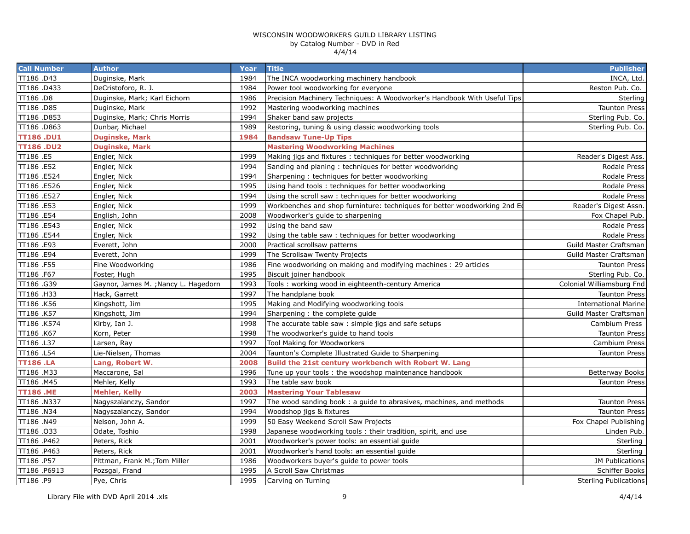| <b>Call Number</b> | <b>Author</b>                        | Year | <b>Title</b>                                                              | <b>Publisher</b>             |
|--------------------|--------------------------------------|------|---------------------------------------------------------------------------|------------------------------|
| TT186.D43          | Duginske, Mark                       | 1984 | The INCA woodworking machinery handbook                                   | INCA, Ltd.                   |
| TT186.D433         | DeCristoforo, R. J.                  | 1984 | Power tool woodworking for everyone                                       | Reston Pub. Co.              |
| TT186.D8           | Duginske, Mark; Karl Eichorn         | 1986 | Precision Machinery Techniques: A Woodworker's Handbook With Useful Tips  | Sterling                     |
| TT186.D85          | Duginske, Mark                       | 1992 | Mastering woodworking machines                                            | <b>Taunton Press</b>         |
| TT186.D853         | Duginske, Mark; Chris Morris         | 1994 | Shaker band saw projects                                                  | Sterling Pub. Co.            |
| TT186.D863         | Dunbar, Michael                      | 1989 | Restoring, tuning & using classic woodworking tools                       | Sterling Pub. Co.            |
| <b>TT186.DU1</b>   | <b>Duginske, Mark</b>                | 1984 | <b>Bandsaw Tune-Up Tips</b>                                               |                              |
| <b>TT186.DU2</b>   | <b>Duginske, Mark</b>                |      | <b>Mastering Woodworking Machines</b>                                     |                              |
| TT186.E5           | Engler, Nick                         | 1999 | Making jigs and fixtures: techniques for better woodworking               | Reader's Digest Ass.         |
| TT186.E52          | Engler, Nick                         | 1994 | Sanding and planing: techniques for better woodworking                    | Rodale Press                 |
| TT186.E524         | Engler, Nick                         | 1994 | Sharpening: techniques for better woodworking                             | Rodale Press                 |
| TT186.E526         | Engler, Nick                         | 1995 | Using hand tools: techniques for better woodworking                       | Rodale Press                 |
| TT186.E527         | Engler, Nick                         | 1994 | Using the scroll saw: techniques for better woodworking                   | Rodale Press                 |
| TT186.E53          | Engler, Nick                         | 1999 | Workbenches and shop furninture: techniques for better woodworking 2nd Ed | Reader's Digest Assn.        |
| TT186.E54          | English, John                        | 2008 | Woodworker's guide to sharpening                                          | Fox Chapel Pub.              |
| TT186 .E543        | Engler, Nick                         | 1992 | Using the band saw                                                        | Rodale Press                 |
| TT186 .E544        | Engler, Nick                         | 1992 | Using the table saw: techniques for better woodworking                    | Rodale Press                 |
| TT186.E93          | Everett, John                        | 2000 | Practical scrollsaw patterns                                              | Guild Master Craftsman       |
| TT186.E94          | Everett, John                        | 1999 | The Scrollsaw Twenty Projects                                             | Guild Master Craftsman       |
| TT186 .F55         | Fine Woodworking                     | 1986 | Fine woodworking on making and modifying machines: 29 articles            | <b>Taunton Press</b>         |
| TT186 .F67         | Foster, Hugh                         | 1995 | Biscuit joiner handbook                                                   | Sterling Pub. Co.            |
| TT186.G39          | Gaynor, James M. ; Nancy L. Hagedorn | 1993 | Tools: working wood in eighteenth-century America                         | Colonial Williamsburg Fnd    |
| TT186.H33          | Hack, Garrett                        | 1997 | The handplane book                                                        | <b>Taunton Press</b>         |
| TT186 .K56         | Kingshott, Jim                       | 1995 | Making and Modifying woodworking tools                                    | <b>International Marine</b>  |
| TT186 .K57         | Kingshott, Jim                       | 1994 | Sharpening: the complete guide                                            | Guild Master Craftsman       |
| TT186 .K574        | Kirby, Ian J.                        | 1998 | The accurate table saw : simple jigs and safe setups                      | Cambium Press                |
| TT186.K67          | Korn, Peter                          | 1998 | The woodworker's quide to hand tools                                      | <b>Taunton Press</b>         |
| TT186 .L37         | Larsen, Ray                          | 1997 | Tool Making for Woodworkers                                               | Cambium Press                |
| TT186 .L54         | Lie-Nielsen, Thomas                  | 2004 | Taunton's Complete Illustrated Guide to Sharpening                        | <b>Taunton Press</b>         |
| <b>TT186.LA</b>    | Lang, Robert W.                      | 2008 | Build the 21st century workbench with Robert W. Lang                      |                              |
| TT186.M33          | Maccarone, Sal                       | 1996 | Tune up your tools: the woodshop maintenance handbook                     | Betterway Books              |
| TT186.M45          | Mehler, Kelly                        | 1993 | The table saw book                                                        | <b>Taunton Press</b>         |
| <b>TT186.ME</b>    | <b>Mehler, Kelly</b>                 | 2003 | <b>Mastering Your Tablesaw</b>                                            |                              |
| TT186.N337         | Nagyszalanczy, Sandor                | 1997 | The wood sanding book: a guide to abrasives, machines, and methods        | <b>Taunton Press</b>         |
| TT186 .N34         | Nagyszalanczy, Sandor                | 1994 | Woodshop jigs & fixtures                                                  | <b>Taunton Press</b>         |
| TT186.N49          | Nelson, John A.                      | 1999 | 50 Easy Weekend Scroll Saw Projects                                       | Fox Chapel Publishing        |
| TT186.033          | Odate, Toshio                        | 1998 | Japanese woodworking tools: their tradition, spirit, and use              | Linden Pub.                  |
| TT186.P462         | Peters, Rick                         | 2001 | Woodworker's power tools: an essential quide                              | Sterling                     |
| TT186.P463         | Peters, Rick                         | 2001 | Woodworker's hand tools: an essential guide                               | Sterling I                   |
| TT186.P57          | Pittman, Frank M.; Tom Miller        | 1986 | Woodworkers buyer's guide to power tools                                  | <b>JM Publications</b>       |
| TT186.P6913        | Pozsgai, Frand                       | 1995 | A Scroll Saw Christmas                                                    | Schiffer Books               |
| TT186.P9           | Pye, Chris                           | 1995 | Carving on Turning                                                        | <b>Sterling Publications</b> |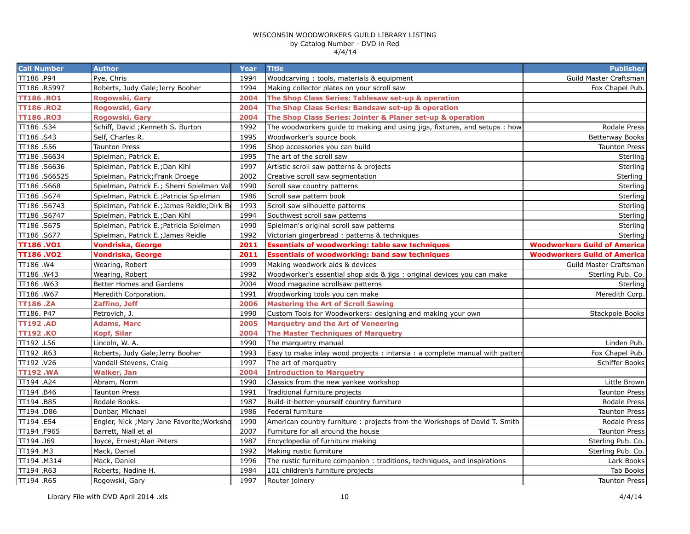| <b>Call Number</b> | <b>Author</b>                               | <b>Year</b> | <b>Title</b>                                                               | <b>Publisher</b>                    |
|--------------------|---------------------------------------------|-------------|----------------------------------------------------------------------------|-------------------------------------|
| TT186.P94          | Pye, Chris                                  | 1994        | Woodcarving: tools, materials & equipment                                  | Guild Master Craftsman              |
| TT186 .R5997       | Roberts, Judy Gale; Jerry Booher            | 1994        | Making collector plates on your scroll saw                                 | Fox Chapel Pub.                     |
| <b>TT186.RO1</b>   | Rogowski, Gary                              | 2004        | The Shop Class Series: Tablesaw set-up & operation                         |                                     |
| <b>TT186.RO2</b>   | Rogowski, Gary                              | 2004        | The Shop Class Series: Bandsaw set-up & operation                          |                                     |
| <b>TT186.RO3</b>   | Rogowski, Gary                              | 2004        | The Shop Class Series: Jointer & Planer set-up & operation                 |                                     |
| TT186.S34          | Schiff, David ; Kenneth S. Burton           | 1992        | The woodworkers guide to making and using jigs, fixtures, and setups : how | Rodale Press                        |
| TT186.S43          | Self, Charles R.                            | 1995        | Woodworker's source book                                                   | <b>Betterway Books</b>              |
| TT186.S56          | <b>Taunton Press</b>                        | 1996        | Shop accessories you can build                                             | <b>Taunton Press</b>                |
| TT186.S6634        | Spielman, Patrick E.                        | 1995        | The art of the scroll saw                                                  | Sterling                            |
| TT186.S6636        | Spielman, Patrick E.; Dan Kihl              | 1997        | Artistic scroll saw patterns & projects                                    | Sterling                            |
| TT186.S66525       | Spielman, Patrick; Frank Droege             | 2002        | Creative scroll saw segmentation                                           | Sterling                            |
| TT186.S668         | Spielman, Patrick E.; Sherri Spielman Val   | 1990        | Scroll saw country patterns                                                | Sterling                            |
| TT186.S674         | Spielman, Patrick E.; Patricia Spielman     | 1986        | Scroll saw pattern book                                                    | Sterling                            |
| TT186.S6743        | Spielman, Patrick E.; James Reidle; Dirk Bo | 1993        | Scroll saw silhouette patterns                                             | Sterling                            |
| TT186.S6747        | Spielman, Patrick E.; Dan Kihl              | 1994        | Southwest scroll saw patterns                                              | Sterling                            |
| TT186.S675         | Spielman, Patrick E.; Patricia Spielman     | 1990        | Spielman's original scroll saw patterns                                    | Sterling                            |
| TT186.S677         | Spielman, Patrick E.; James Reidle          | 1992        | Victorian gingerbread: patterns & techniques                               | Sterling                            |
| <b>TT186.VO1</b>   | Vondriska, George                           | 2011        | <b>Essentials of woodworking: table saw techniques</b>                     | <b>Woodworkers Guild of America</b> |
| <b>TT186.VO2</b>   | <b>Vondriska, George</b>                    | 2011        | <b>Essentials of woodworking: band saw techniques</b>                      | <b>Woodworkers Guild of America</b> |
| TT186.W4           | Wearing, Robert                             | 1999        | Making woodwork aids & devices                                             | Guild Master Craftsman              |
| TT186.W43          | Wearing, Robert                             | 1992        | Woodworker's essential shop aids & jigs : original devices you can make    | Sterling Pub. Co.                   |
| TT186.W63          | Better Homes and Gardens                    | 2004        | Wood magazine scrollsaw patterns                                           | Sterling                            |
| TT186.W67          | Meredith Corporation.                       | 1991        | Woodworking tools you can make                                             | Meredith Corp.                      |
| <b>TT186.ZA</b>    | Zaffino, Jeff                               | 2006        | <b>Mastering the Art of Scroll Sawing</b>                                  |                                     |
| TT186. P47         | Petrovich, J.                               | 1990        | Custom Tools for Woodworkers: designing and making your own                | Stackpole Books                     |
| <b>TT192.AD</b>    | Adams, Marc                                 | 2005        | <b>Marquetry and the Art of Veneering</b>                                  |                                     |
| <b>TT192.KO</b>    | <b>Kopf, Silar</b>                          | 2004        | <b>The Master Techniques of Marquetry</b>                                  |                                     |
| TT192.L56          | Lincoln, W. A.                              | 1990        | The marquetry manual                                                       | Linden Pub.                         |
| TT192.R63          | Roberts, Judy Gale; Jerry Booher            | 1993        | Easy to make inlay wood projects: intarsia: a complete manual with patterr | Fox Chapel Pub.                     |
| TT192.V26          | Vandall Stevens, Craig                      | 1997        | The art of marquetry                                                       | Schiffer Books                      |
| <b>TT192.WA</b>    | <b>Walker, Jan</b>                          | 2004        | <b>Introduction to Marquetry</b>                                           |                                     |
| TT194 .A24         | Abram, Norm                                 | 1990        | Classics from the new yankee workshop                                      | Little Brown                        |
| TT194.B46          | <b>Taunton Press</b>                        | 1991        | Traditional furniture projects                                             | <b>Taunton Press</b>                |
| TT194.B85          | Rodale Books.                               | 1987        | Build-it-better-yourself country furniture                                 | <b>Rodale Press</b>                 |
| TT194 .D86         | Dunbar, Michael                             | 1986        | Federal furniture                                                          | <b>Taunton Press</b>                |
| TT194 .E54         | Engler, Nick ; Mary Jane Favorite; Worksho  | 1990        | American country furniture: projects from the Workshops of David T. Smith  | Rodale Press                        |
| TT194 .F965        | Barrett, Niall et al                        | 2007        | Furniture for all around the house                                         | <b>Taunton Press</b>                |
| TT194 .J69         | Joyce, Ernest; Alan Peters                  | 1987        | Encyclopedia of furniture making                                           | Sterling Pub. Co.                   |
| TT194 .M3          | Mack, Daniel                                | 1992        | Making rustic furniture                                                    | Sterling Pub. Co.                   |
| TT194.M314         | Mack, Daniel                                | 1996        | The rustic furniture companion: traditions, techniques, and inspirations   | Lark Books                          |
| TT194.R63          | Roberts, Nadine H.                          | 1984        | 101 children's furniture projects                                          | Tab Books                           |
| TT194.R65          | Rogowski, Gary                              | 1997        | Router joinery                                                             | <b>Taunton Press</b>                |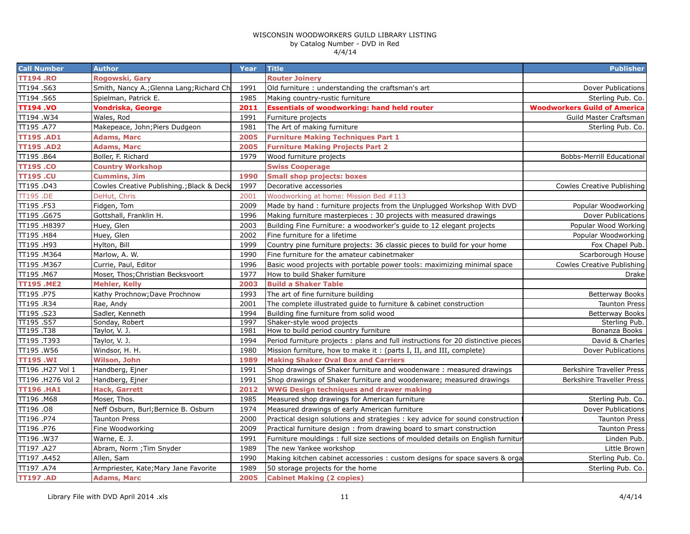| <b>Call Number</b> | <b>Author</b>                             | Year | <b>Title</b>                                                                      | <b>Publisher</b>                    |
|--------------------|-------------------------------------------|------|-----------------------------------------------------------------------------------|-------------------------------------|
| <b>TT194.RO</b>    | Rogowski, Gary                            |      | <b>Router Joinery</b>                                                             |                                     |
| TT194.S63          | Smith, Nancy A.; Glenna Lang; Richard Ch  | 1991 | Old furniture : understanding the craftsman's art                                 | Dover Publications                  |
| TT194.S65          | Spielman, Patrick E.                      | 1985 | Making country-rustic furniture                                                   | Sterling Pub. Co.                   |
| <b>TT194.VO</b>    | Vondriska, George                         | 2011 | <b>Essentials of woodworking: hand held router</b>                                | <b>Woodworkers Guild of America</b> |
| TT194.W34          | Wales, Rod                                | 1991 | Furniture projects                                                                | Guild Master Craftsman              |
| TT195 .A77         | Makepeace, John; Piers Dudgeon            | 1981 | The Art of making furniture                                                       | Sterling Pub. Co.                   |
| <b>TT195.AD1</b>   | <b>Adams, Marc</b>                        | 2005 | <b>Furniture Making Techniques Part 1</b>                                         |                                     |
| <b>TT195.AD2</b>   | <b>Adams, Marc</b>                        | 2005 | <b>Furniture Making Projects Part 2</b>                                           |                                     |
| TT195.B64          | Boller, F. Richard                        | 1979 | Wood furniture projects                                                           | Bobbs-Merrill Educational           |
| <b>TT195.CO</b>    | <b>Country Workshop</b>                   |      | <b>Swiss Cooperage</b>                                                            |                                     |
| <b>TT195.CU</b>    | Cummins, Jim                              | 1990 | <b>Small shop projects: boxes</b>                                                 |                                     |
| TT195.D43          | Cowles Creative Publishing.; Black & Deck | 1997 | Decorative accessories                                                            | Cowles Creative Publishing          |
| <b>TT195.DE</b>    | DeHut, Chris                              | 2001 | Woodworking at home: Mission Bed #113                                             |                                     |
| TT195.F53          | Fidgen, Tom                               | 2009 | Made by hand : furniture projects from the Unplugged Workshop With DVD            | Popular Woodworking                 |
| TT195.G675         | Gottshall, Franklin H.                    | 1996 | Making furniture masterpieces : 30 projects with measured drawings                | Dover Publications                  |
| TT195.H8397        | Huey, Glen                                | 2003 | Building Fine Furniture: a woodworker's guide to 12 elegant projects              | Popular Wood Working                |
| TT195 .H84         | Huey, Glen                                | 2002 | Fine furniture for a lifetime                                                     | Popular Woodworking                 |
| TT195 .H93         | Hylton, Bill                              | 1999 | Country pine furniture projects: 36 classic pieces to build for your home         | Fox Chapel Pub.                     |
| TT195.M364         | Marlow, A. W.                             | 1990 | Fine furniture for the amateur cabinetmaker                                       | Scarborough House                   |
| TT195.M367         | Currie, Paul, Editor                      | 1996 | Basic wood projects with portable power tools: maximizing minimal space           | Cowles Creative Publishing          |
| TT195.M67          | Moser, Thos; Christian Becksvoort         | 1977 | How to build Shaker furniture                                                     | Drake                               |
| <b>TT195.ME2</b>   | Mehler, Kelly                             | 2003 | <b>Build a Shaker Table</b>                                                       |                                     |
| TT195.P75          | Kathy Prochnow; Dave Prochnow             | 1993 | The art of fine furniture building                                                | Betterway Books                     |
| TT195.R34          | Rae, Andy                                 | 2001 | The complete illustrated guide to furniture & cabinet construction                | <b>Taunton Press</b>                |
| TT195.S23          | Sadler, Kenneth                           | 1994 | Building fine furniture from solid wood                                           | <b>Betterway Books</b>              |
| TT195.S57          | Sonday, Robert                            | 1997 | Shaker-style wood projects                                                        | Sterling Pub.                       |
| TT195.T38          | Taylor, V. J.                             | 1981 | How to build period country furniture                                             | Bonanza Books                       |
| TT195.T393         | Taylor, V. J.                             | 1994 | Period furniture projects : plans and full instructions for 20 distinctive pieces | David & Charles                     |
| TT195.W56          | Windsor, H. H.                            | 1980 | Mission furniture, how to make it: (parts I, II, and III, complete)               | Dover Publications                  |
| <b>TT195.WI</b>    | Wilson, John                              | 1989 | <b>Making Shaker Oval Box and Carriers</b>                                        |                                     |
| TT196 .H27 Vol 1   | Handberg, Ejner                           | 1991 | Shop drawings of Shaker furniture and woodenware: measured drawings               | Berkshire Traveller Press           |
| TT196 .H276 Vol 2  | Handberg, Ejner                           | 1991 | Shop drawings of Shaker furniture and woodenware; measured drawings               | Berkshire Traveller Press           |
| <b>TT196.HA1</b>   | <b>Hack, Garrett</b>                      | 2012 | <b>WWG Design techniques and drawer making</b>                                    |                                     |
| TT196.M68          | Moser, Thos.                              | 1985 | Measured shop drawings for American furniture                                     | Sterling Pub. Co.                   |
| TT196.08           | Neff Osburn, Burl; Bernice B. Osburn      | 1974 | Measured drawings of early American furniture                                     | Dover Publications                  |
| TT196.P74          | Taunton Press                             | 2000 | Practical design solutions and strategies : key advice for sound construction     | <b>Taunton Press</b>                |
| TT196.P76          | Fine Woodworking                          | 2009 | Practical furniture design: from drawing board to smart construction              | <b>Taunton Press</b>                |
| TT196.W37          | Warne, E. J.                              | 1991 | Furniture mouldings : full size sections of moulded details on English furnitur   | Linden Pub.                         |
| TT197 .A27         | Abram, Norm ; Tim Snyder                  | 1989 | The new Yankee workshop                                                           | Little Brown                        |
| TT197 .A452        | Allen, Sam                                | 1990 | Making kitchen cabinet accessories : custom designs for space savers & orga       | Sterling Pub. Co.                   |
| TT197 .A74         | Armpriester, Kate; Mary Jane Favorite     | 1989 | 50 storage projects for the home                                                  | Sterling Pub. Co.                   |
| <b>TT197.AD</b>    | <b>Adams, Marc</b>                        | 2005 | <b>Cabinet Making (2 copies)</b>                                                  |                                     |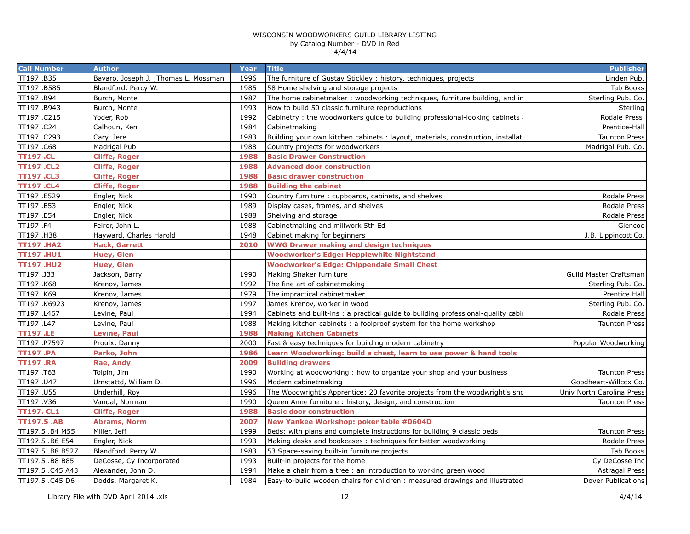| <b>Call Number</b> | <b>Author</b>                         | Year | <b>Title</b>                                                                     | <b>Publisher</b>          |
|--------------------|---------------------------------------|------|----------------------------------------------------------------------------------|---------------------------|
| TT197.B35          | Bavaro, Joseph J. ; Thomas L. Mossman | 1996 | The furniture of Gustav Stickley: history, techniques, projects                  | Linden Pub.               |
| TT197.B585         | Blandford, Percy W.                   | 1985 | 58 Home shelving and storage projects                                            | Tab Books                 |
| TT197 .B94         | Burch, Monte                          | 1987 | The home cabinetmaker: woodworking techniques, furniture building, and ir        | Sterling Pub. Co.         |
| TT197 .B943        | Burch, Monte                          | 1993 | How to build 50 classic furniture reproductions                                  | Sterling                  |
| TT197.C215         | Yoder, Rob                            | 1992 | Cabinetry: the woodworkers guide to building professional-looking cabinets       | Rodale Press              |
| TT197 .C24         | Calhoun, Ken                          | 1984 | Cabinetmaking                                                                    | Prentice-Hall             |
| TT197.C293         | Cary, Jere                            | 1983 | Building your own kitchen cabinets: layout, materials, construction, installat   | <b>Taunton Press</b>      |
| TT197 .C68         | Madrigal Pub                          | 1988 | Country projects for woodworkers                                                 | Madrigal Pub. Co.         |
| <b>TT197 .CL</b>   | <b>Cliffe, Roger</b>                  | 1988 | <b>Basic Drawer Construction</b>                                                 |                           |
| <b>TT197.CL2</b>   | <b>Cliffe, Roger</b>                  | 1988 | <b>Advanced door construction</b>                                                |                           |
| <b>TT197.CL3</b>   | <b>Cliffe, Roger</b>                  | 1988 | <b>Basic drawer construction</b>                                                 |                           |
| <b>TT197.CL4</b>   | <b>Cliffe, Roger</b>                  | 1988 | <b>Building the cabinet</b>                                                      |                           |
| TT197 .E529        | Engler, Nick                          | 1990 | Country furniture: cupboards, cabinets, and shelves                              | Rodale Press              |
| TT197.E53          | Engler, Nick                          | 1989 | Display cases, frames, and shelves                                               | Rodale Press              |
| TT197.E54          | Engler, Nick                          | 1988 | Shelving and storage                                                             | Rodale Press              |
| TT197 .F4          | Feirer, John L.                       | 1988 | Cabinetmaking and millwork 5th Ed                                                | Glencoe                   |
| TT197.H38          | Hayward, Charles Harold               | 1948 | Cabinet making for beginners                                                     | J.B. Lippincott Co.       |
| <b>TT197.HA2</b>   | <b>Hack, Garrett</b>                  | 2010 | <b>WWG Drawer making and design techniques</b>                                   |                           |
| <b>TT197.HU1</b>   | Huey, Glen                            |      | <b>Woodworker's Edge: Hepplewhite Nightstand</b>                                 |                           |
| <b>TT197.HU2</b>   | Huey, Glen                            |      | <b>Woodworker's Edge: Chippendale Small Chest</b>                                |                           |
| TT197 .J33         | Jackson, Barry                        | 1990 | Making Shaker furniture                                                          | Guild Master Craftsman    |
| TT197 .K68         | Krenov, James                         | 1992 | The fine art of cabinetmaking                                                    | Sterling Pub. Co.         |
| TT197 .K69         | Krenov, James                         | 1979 | The impractical cabinetmaker                                                     | Prentice Hall             |
| TT197.K6923        | Krenov, James                         | 1997 | James Krenov, worker in wood                                                     | Sterling Pub. Co.         |
| TT197 .L467        | Levine, Paul                          | 1994 | Cabinets and built-ins: a practical quide to building professional-quality cabil | Rodale Press              |
| TT197 .L47         | Levine, Paul                          | 1988 | Making kitchen cabinets: a foolproof system for the home workshop                | <b>Taunton Press</b>      |
| <b>TT197.LE</b>    | <b>Levine, Paul</b>                   | 1988 | <b>Making Kitchen Cabinets</b>                                                   |                           |
| TT197.P7597        | Proulx, Danny                         | 2000 | Fast & easy techniques for building modern cabinetry                             | Popular Woodworking       |
| <b>TT197.PA</b>    | Parko, John                           | 1986 | Learn Woodworking: build a chest, learn to use power & hand tools                |                           |
| <b>TT197.RA</b>    | Rae, Andy                             | 2009 | <b>Building drawers</b>                                                          |                           |
| TT197.T63          | Tolpin, Jim                           | 1990 | Working at woodworking: how to organize your shop and your business              | <b>Taunton Press</b>      |
| TT197.U47          | Umstattd, William D.                  | 1996 | Modern cabinetmaking                                                             | Goodheart-Willcox Co.     |
| TT197 .U55         | Underhill, Roy                        | 1996 | The Woodwright's Apprentice: 20 favorite projects from the woodwright's sho      | Univ North Carolina Press |
| TT197.V36          | Vandal, Norman                        | 1990 | Queen Anne furniture: history, design, and construction                          | <b>Taunton Press</b>      |
| <b>TT197. CL1</b>  | <b>Cliffe, Roger</b>                  | 1988 | <b>Basic door construction</b>                                                   |                           |
| <b>TT197.5 .AB</b> | <b>Abrams, Norm</b>                   | 2007 | New Yankee Workshop: poker table #0604D                                          |                           |
| TT197.5 .B4 M55    | Miller, Jeff                          | 1999 | Beds: with plans and complete instructions for building 9 classic beds           | <b>Taunton Press</b>      |
| TT197.5 .B6 E54    | Engler, Nick                          | 1993 | Making desks and bookcases: techniques for better woodworking                    | Rodale Press              |
| TT197.5 .B8 B527   | Blandford, Percy W.                   | 1983 | 53 Space-saving built-in furniture projects                                      | Tab Books                 |
| TT197.5 .B8 B85    | DeCosse, Cy Incorporated              | 1993 | Built-in projects for the home                                                   | Cy DeCosse Inc            |
| TT197.5 .C45 A43   | Alexander, John D.                    | 1994 | Make a chair from a tree : an introduction to working green wood                 | <b>Astragal Press</b>     |
| TT197.5 .C45 D6    | Dodds, Margaret K.                    | 1984 | Easy-to-build wooden chairs for children: measured drawings and illustrated      | Dover Publications        |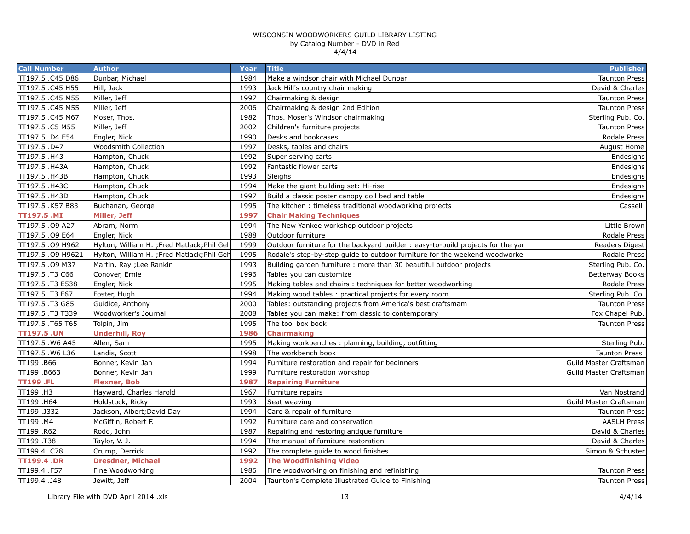| <b>Call Number</b> | <b>Author</b>                               | Year | <b>Title</b>                                                                   | <b>Publisher</b>       |
|--------------------|---------------------------------------------|------|--------------------------------------------------------------------------------|------------------------|
| TT197.5 .C45 D86   | Dunbar, Michael                             | 1984 | Make a windsor chair with Michael Dunbar                                       | <b>Taunton Press</b>   |
| TT197.5 .C45 H55   | Hill, Jack                                  | 1993 | Jack Hill's country chair making                                               | David & Charles        |
| TT197.5 .C45 M55   | Miller, Jeff                                | 1997 | Chairmaking & design                                                           | <b>Taunton Press</b>   |
| TT197.5 .C45 M55   | Miller, Jeff                                | 2006 | Chairmaking & design 2nd Edition                                               | <b>Taunton Press</b>   |
| TT197.5 .C45 M67   | Moser, Thos.                                | 1982 | Thos. Moser's Windsor chairmaking                                              | Sterling Pub. Co.      |
| TT197.5 .C5 M55    | Miller, Jeff                                | 2002 | Children's furniture projects                                                  | <b>Taunton Press</b>   |
| TT197.5 .D4 E54    | Engler, Nick                                | 1990 | Desks and bookcases                                                            | Rodale Press           |
| TT197.5.D47        | <b>Woodsmith Collection</b>                 | 1997 | Desks, tables and chairs                                                       | <b>August Home</b>     |
| TT197.5 .H43       | Hampton, Chuck                              | 1992 | Super serving carts                                                            | Endesigns              |
| TT197.5 .H43A      | Hampton, Chuck                              | 1992 | Fantastic flower carts                                                         | Endesigns              |
| TT197.5 .H43B      | Hampton, Chuck                              | 1993 | Sleighs                                                                        | Endesigns              |
| TT197.5 .H43C      | Hampton, Chuck                              | 1994 | Make the giant building set: Hi-rise                                           | Endesigns              |
| TT197.5 .H43D      | Hampton, Chuck                              | 1997 | Build a classic poster canopy doll bed and table                               | Endesigns              |
| TT197.5 .K57 B83   | Buchanan, George                            | 1995 | The kitchen: timeless traditional woodworking projects                         | Cassell                |
| <b>TT197.5 .MI</b> | Miller, Jeff                                | 1997 | <b>Chair Making Techniques</b>                                                 |                        |
| TT197.5 .09 A27    | Abram, Norm                                 | 1994 | The New Yankee workshop outdoor projects                                       | Little Brown           |
| TT197.5 .09 E64    | Engler, Nick                                | 1988 | Outdoor furniture                                                              | Rodale Press           |
| TT197.5 .09 H962   | Hylton, William H. ; Fred Matlack; Phil Geh | 1999 | Outdoor furniture for the backyard builder: easy-to-build projects for the yar | Readers Digest         |
| TT197.5 .09 H9621  | Hylton, William H. ; Fred Matlack; Phil Geh | 1995 | Rodale's step-by-step quide to outdoor furniture for the weekend woodworke     | Rodale Press           |
| TT197.5 .09 M37    | Martin, Ray ; Lee Rankin                    | 1993 | Building garden furniture: more than 30 beautiful outdoor projects             | Sterling Pub. Co.      |
| TT197.5.T3 C66     | Conover, Ernie                              | 1996 | Tables you can customize                                                       | <b>Betterway Books</b> |
| TT197.5.T3 E538    | Engler, Nick                                | 1995 | Making tables and chairs: techniques for better woodworking                    | Rodale Press           |
| TT197.5 .T3 F67    | Foster, Hugh                                | 1994 | Making wood tables: practical projects for every room                          | Sterling Pub. Co.      |
| TT197.5 .T3 G85    | Guidice, Anthony                            | 2000 | Tables: outstanding projects from America's best craftsmam                     | <b>Taunton Press</b>   |
| TT197.5 .T3 T339   | Woodworker's Journal                        | 2008 | Tables you can make: from classic to contemporary                              | Fox Chapel Pub.        |
| TT197.5.T65 T65    | Tolpin, Jim                                 | 1995 | The tool box book                                                              | <b>Taunton Press</b>   |
| <b>TT197.5 .UN</b> | <b>Underhill, Roy</b>                       | 1986 | <b>Chairmaking</b>                                                             |                        |
| TT197.5 .W6 A45    | Allen, Sam                                  | 1995 | Making workbenches: planning, building, outfitting                             | Sterling Pub.          |
| TT197.5 .W6 L36    | Landis, Scott                               | 1998 | The workbench book                                                             | <b>Taunton Press</b>   |
| TT199.B66          | Bonner, Kevin Jan                           | 1994 | Furniture restoration and repair for beginners                                 | Guild Master Craftsman |
| TT199.B663         | Bonner, Kevin Jan                           | 1999 | Furniture restoration workshop                                                 | Guild Master Craftsman |
| <b>TT199.FL</b>    | <b>Flexner, Bob</b>                         | 1987 | <b>Repairing Furniture</b>                                                     |                        |
| TT199 .H3          | Hayward, Charles Harold                     | 1967 | Furniture repairs                                                              | Van Nostrand           |
| TT199 .H64         | Holdstock, Ricky                            | 1993 | Seat weaving                                                                   | Guild Master Craftsman |
| TT199.J332         | Jackson, Albert; David Day                  | 1994 | Care & repair of furniture                                                     | <b>Taunton Press</b>   |
| TT199 .M4          | McGiffin, Robert F.                         | 1992 | Furniture care and conservation                                                | <b>AASLH Press</b>     |
| TT199 .R62         | Rodd, John                                  | 1987 | Repairing and restoring antique furniture                                      | David & Charles        |
| TT199.T38          | Taylor, V. J.                               | 1994 | The manual of furniture restoration                                            | David & Charles        |
| TT199.4 .C78       | Crump, Derrick                              | 1992 | The complete guide to wood finishes                                            | Simon & Schuster       |
| <b>TT199.4.DR</b>  | <b>Dresdner, Michael</b>                    | 1992 | <b>The Woodfinishing Video</b>                                                 |                        |
| TT199.4 .F57       | Fine Woodworking                            | 1986 | Fine woodworking on finishing and refinishing                                  | <b>Taunton Press</b>   |
| TT199.4 .J48       | Jewitt, Jeff                                | 2004 | Taunton's Complete Illustrated Guide to Finishing                              | <b>Taunton Press</b>   |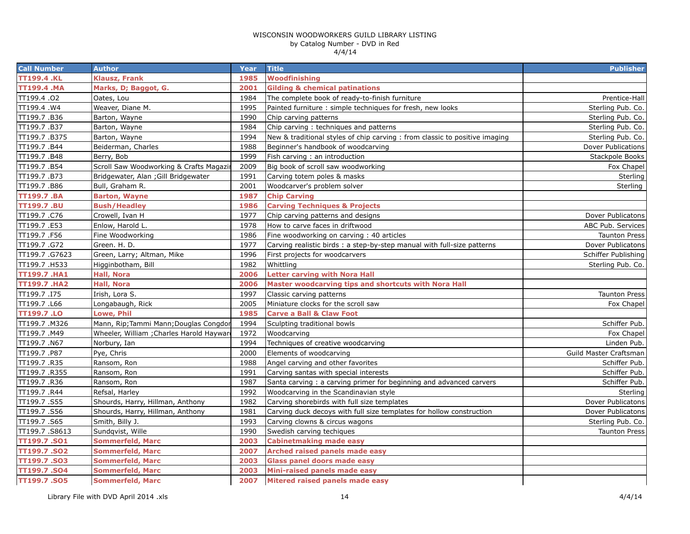| <b>Call Number</b>  | <b>Author</b>                             | Year | <b>Title</b>                                                                | <b>Publisher</b>       |
|---------------------|-------------------------------------------|------|-----------------------------------------------------------------------------|------------------------|
| <b>TT199.4.KL</b>   | Klausz, Frank                             | 1985 | Woodfinishing                                                               |                        |
| <b>TT199.4 .MA</b>  | Marks, D; Baggot, G.                      | 2001 | <b>Gilding &amp; chemical patinations</b>                                   |                        |
| TT199.4.02          | Oates, Lou                                | 1984 | The complete book of ready-to-finish furniture                              | Prentice-Hall          |
| TT199.4.W4          | Weaver, Diane M.                          | 1995 | Painted furniture : simple techniques for fresh, new looks                  | Sterling Pub. Co.      |
| TT199.7.B36         | Barton, Wayne                             | 1990 | Chip carving patterns                                                       | Sterling Pub. Co.      |
| TT199.7.B37         | Barton, Wayne                             | 1984 | Chip carving: techniques and patterns                                       | Sterling Pub. Co.      |
| TT199.7.B375        | Barton, Wayne                             | 1994 | New & traditional styles of chip carving : from classic to positive imaging | Sterling Pub. Co.      |
| TT199.7.B44         | Beiderman, Charles                        | 1988 | Beginner's handbook of woodcarving                                          | Dover Publications     |
| TT199.7.B48         | Berry, Bob                                | 1999 | Fish carving : an introduction                                              | Stackpole Books        |
| TT199.7.B54         | Scroll Saw Woodworking & Crafts Magazi    | 2009 | Big book of scroll saw woodworking                                          | Fox Chapel             |
| TT199.7.B73         | Bridgewater, Alan ; Gill Bridgewater      | 1991 | Carving totem poles & masks                                                 | Sterling               |
| TT199.7.B86         | Bull, Graham R.                           | 2001 | Woodcarver's problem solver                                                 | Sterling               |
| <b>TT199.7.BA</b>   | <b>Barton, Wayne</b>                      | 1987 | <b>Chip Carving</b>                                                         |                        |
| <b>TT199.7.BU</b>   | <b>Bush/Headley</b>                       | 1986 | <b>Carving Techniques &amp; Projects</b>                                    |                        |
| TT199.7.C76         | Crowell, Ivan H                           | 1977 | Chip carving patterns and designs                                           | Dover Publicatons      |
| TT199.7.E53         | Enlow, Harold L.                          | 1978 | How to carve faces in driftwood                                             | ABC Pub. Services      |
| TT199.7.F56         | Fine Woodworking                          | 1986 | Fine woodworking on carving: 40 articles                                    | <b>Taunton Press</b>   |
| TT199.7.G72         | Green. H. D.                              | 1977 | Carving realistic birds: a step-by-step manual with full-size patterns      | Dover Publicatons      |
| TT199.7.G7623       | Green, Larry; Altman, Mike                | 1996 | First projects for woodcarvers                                              | Schiffer Publishing    |
| TT199.7.H533        | Higginbotham, Bill                        | 1982 | Whittling                                                                   | Sterling Pub. Co.      |
| <b>TT199.7 .HA1</b> | Hall, Nora                                | 2006 | <b>Letter carving with Nora Hall</b>                                        |                        |
| <b>TT199.7.HA2</b>  | <b>Hall, Nora</b>                         | 2006 | Master woodcarving tips and shortcuts with Nora Hall                        |                        |
| TT199.7.I75         | Irish, Lora S.                            | 1997 | Classic carving patterns                                                    | <b>Taunton Press</b>   |
| TT199.7.L66         | Longabaugh, Rick                          | 2005 | Miniature clocks for the scroll saw                                         | Fox Chapel             |
| <b>TT199.7.LO</b>   | Lowe, Phil                                | 1985 | <b>Carve a Ball &amp; Claw Foot</b>                                         |                        |
| TT199.7 .M326       | Mann, Rip; Tammi Mann; Douglas Congdor    | 1994 | Sculpting traditional bowls                                                 | Schiffer Pub.          |
| TT199.7.M49         | Wheeler, William ; Charles Harold Hayward | 1972 | Woodcarving                                                                 | Fox Chapel             |
| TT199.7.N67         | Norbury, Ian                              | 1994 | Techniques of creative woodcarving                                          | Linden Pub.            |
| TT199.7.P87         | Pye, Chris                                | 2000 | Elements of woodcarving                                                     | Guild Master Craftsman |
| TT199.7.R35         | Ransom, Ron                               | 1988 | Angel carving and other favorites                                           | Schiffer Pub.          |
| TT199.7 .R355       | Ransom, Ron                               | 1991 | Carving santas with special interests                                       | Schiffer Pub.          |
| TT199.7 .R36        | Ransom, Ron                               | 1987 | Santa carving: a carving primer for beginning and advanced carvers          | Schiffer Pub.          |
| TT199.7 .R44        | Refsal, Harley                            | 1992 | Woodcarving in the Scandinavian style                                       | Sterling               |
| TT199.7.S55         | Shourds, Harry, Hillman, Anthony          | 1982 | Carving shorebirds with full size templates                                 | Dover Publicatons      |
| TT199.7.S56         | Shourds, Harry, Hillman, Anthony          | 1981 | Carving duck decoys with full size templates for hollow construction        | Dover Publicatons      |
| TT199.7.S65         | Smith, Billy J.                           | 1993 | Carving clowns & circus wagons                                              | Sterling Pub. Co.      |
| TT199.7.S8613       | Sundqvist, Wille                          | 1990 | Swedish carving techiques                                                   | <b>Taunton Press</b>   |
| <b>TT199.7.SO1</b>  | Sommerfeld, Marc                          | 2003 | <b>Cabinetmaking made easy</b>                                              |                        |
| TT199.7.SO2         | <b>Sommerfeld, Marc</b>                   | 2007 | Arched raised panels made easy                                              |                        |
| <b>TT199.7.SO3</b>  | <b>Sommerfeld, Marc</b>                   | 2003 | <b>Glass panel doors made easy</b>                                          |                        |
| TT199.7.SO4         | <b>Sommerfeld, Marc</b>                   | 2003 | Mini-raised panels made easy                                                |                        |
| <b>TT199.7.SO5</b>  | <b>Sommerfeld, Marc</b>                   | 2007 | Mitered raised panels made easy                                             |                        |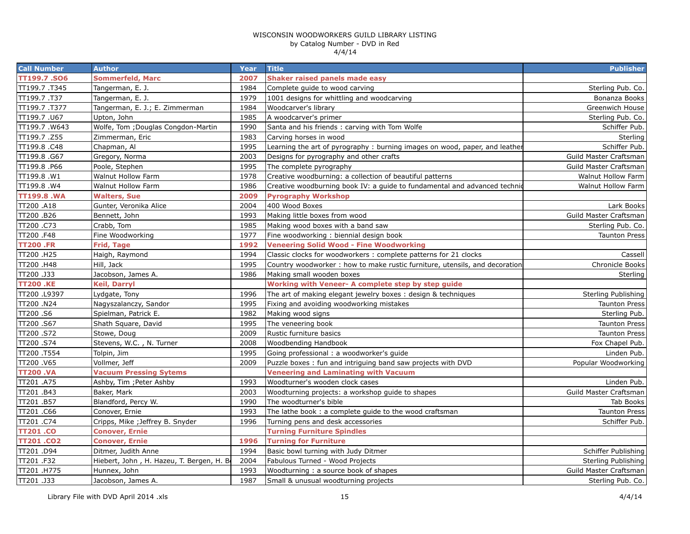| <b>Call Number</b> | <b>Author</b>                             | <b>Year</b> | <b>Title</b>                                                               | <b>Publisher</b>       |
|--------------------|-------------------------------------------|-------------|----------------------------------------------------------------------------|------------------------|
| TT199.7.SO6        | Sommerfeld, Marc                          | 2007        | Shaker raised panels made easy                                             |                        |
| TT199.7.T345       | Tangerman, E. J.                          | 1984        | Complete guide to wood carving                                             | Sterling Pub. Co.      |
| TT199.7.T37        | Tangerman, E. J.                          | 1979        | 1001 designs for whittling and woodcarving                                 | Bonanza Books          |
| TT199.7.T377       | Tangerman, E. J.; E. Zimmerman            | 1984        | Woodcarver's library                                                       | Greenwich House        |
| TT199.7.U67        | Upton, John                               | 1985        | A woodcarver's primer                                                      | Sterling Pub. Co.      |
| TT199.7.W643       | Wolfe, Tom ; Douglas Congdon-Martin       | 1990        | Santa and his friends: carving with Tom Wolfe                              | Schiffer Pub.          |
| TT199.7.Z55        | Zimmerman, Eric                           | 1983        | Carving horses in wood                                                     | Sterling               |
| TT199.8.C48        | Chapman, Al                               | 1995        | Learning the art of pyrography: burning images on wood, paper, and leather | Schiffer Pub.          |
| TT199.8.G67        | Gregory, Norma                            | 2003        | Designs for pyrography and other crafts                                    | Guild Master Craftsman |
| TT199.8 .P66       | Poole, Stephen                            | 1995        | The complete pyrography                                                    | Guild Master Craftsman |
| TT199.8.W1         | Walnut Hollow Farm                        | 1978        | Creative woodburning: a collection of beautiful patterns                   | Walnut Hollow Farm     |
| TT199.8.W4         | Walnut Hollow Farm                        | 1986        | Creative woodburning book IV: a guide to fundamental and advanced technic  | Walnut Hollow Farm     |
| <b>TT199.8.WA</b>  | <b>Walters, Sue</b>                       | 2009        | <b>Pyrography Workshop</b>                                                 |                        |
| TT200 .A18         | Gunter, Veronika Alice                    | 2004        | 400 Wood Boxes                                                             | Lark Books             |
| TT200.B26          | Bennett, John                             | 1993        | Making little boxes from wood                                              | Guild Master Craftsman |
| TT200.C73          | Crabb, Tom                                | 1985        | Making wood boxes with a band saw                                          | Sterling Pub. Co.      |
| TT200 .F48         | Fine Woodworking                          | 1977        | Fine woodworking: biennial design book                                     | <b>Taunton Press</b>   |
| <b>TT200 .FR</b>   | Frid, Tage                                | 1992        | <b>Veneering Solid Wood - Fine Woodworking</b>                             |                        |
| TT200 .H25         | Haigh, Raymond                            | 1994        | Classic clocks for woodworkers : complete patterns for 21 clocks           | Cassell                |
| TT200 .H48         | Hill, Jack                                | 1995        | Country woodworker: how to make rustic furniture, utensils, and decoration | Chronicle Books        |
| TT200.J33          | Jacobson, James A.                        | 1986        | Making small wooden boxes                                                  | Sterling               |
| <b>TT200.KE</b>    | Keil, Darryl                              |             | Working with Veneer- A complete step by step guide                         |                        |
| TT200 .L9397       | Lydgate, Tony                             | 1996        | The art of making elegant jewelry boxes: design & techniques               | Sterling Publishing    |
| TT200 .N24         | Nagyszalanczy, Sandor                     | 1995        | Fixing and avoiding woodworking mistakes                                   | <b>Taunton Press</b>   |
| TT200.S6           | Spielman, Patrick E.                      | 1982        | Making wood signs                                                          | Sterling Pub.          |
| TT200.S67          | Shath Square, David                       | 1995        | The veneering book                                                         | <b>Taunton Press</b>   |
| TT200.S72          | Stowe, Doug                               | 2009        | Rustic furniture basics                                                    | <b>Taunton Press</b>   |
| TT200.S74          | Stevens, W.C., N. Turner                  | 2008        | Woodbending Handbook                                                       | Fox Chapel Pub.        |
| TT200 .T554        | Tolpin, Jim                               | 1995        | Going professional: a woodworker's guide                                   | Linden Pub.            |
| TT200.V65          | Vollmer, Jeff                             | 2009        | Puzzle boxes: fun and intriguing band saw projects with DVD                | Popular Woodworking    |
| <b>TT200.VA</b>    | <b>Vacuum Pressing Sytems</b>             |             | <b>Veneering and Laminating with Vacuum</b>                                |                        |
| TT201 .A75         | Ashby, Tim; Peter Ashby                   | 1993        | Woodturner's wooden clock cases                                            | Linden Pub.            |
| TT201.B43          | Baker, Mark                               | 2003        | Woodturning projects: a workshop guide to shapes                           | Guild Master Craftsman |
| TT201.B57          | Blandford, Percy W.                       | 1990        | The woodturner's bible                                                     | Tab Books              |
| TT201 .C66         | Conover, Ernie                            | 1993        | The lathe book: a complete guide to the wood craftsman                     | <b>Taunton Press</b>   |
| TT201.C74          | Cripps, Mike ; Jeffrey B. Snyder          | 1996        | Turning pens and desk accessories                                          | Schiffer Pub.          |
| <b>TT201.CO</b>    | Conover, Ernie                            |             | <b>Turning Furniture Spindles</b>                                          |                        |
| <b>TT201.CO2</b>   | <b>Conover, Ernie</b>                     | 1996        | <b>Turning for Furniture</b>                                               |                        |
| TT201 .D94         | Ditmer, Judith Anne                       | 1994        | Basic bowl turning with Judy Ditmer                                        | Schiffer Publishing    |
| TT201.F32          | Hiebert, John, H. Hazeu, T. Bergen, H. Be | 2004        | Fabulous Turned - Wood Projects                                            | Sterling Publishing    |
| TT201.H775         | Hunnex, John                              | 1993        | Woodturning: a source book of shapes                                       | Guild Master Craftsman |
| TT201 .J33         | Jacobson, James A.                        | 1987        | Small & unusual woodturning projects                                       | Sterling Pub. Co.      |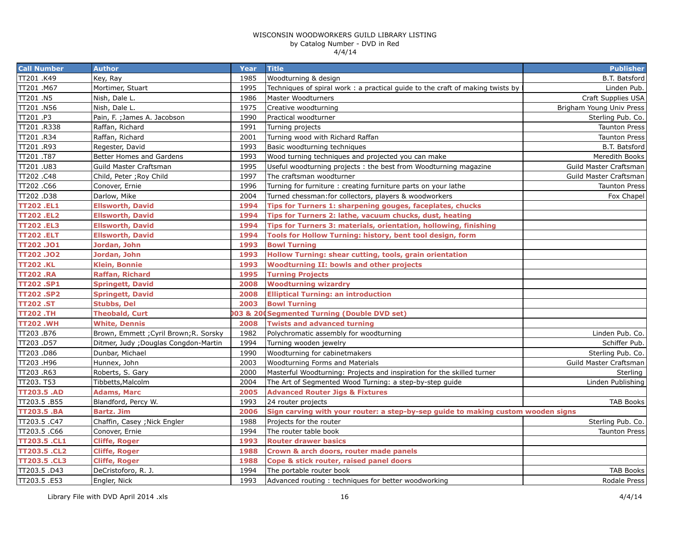| <b>Call Number</b>  | <b>Author</b>                          | Year | <b>Title</b>                                                                     | <b>Publisher</b>         |
|---------------------|----------------------------------------|------|----------------------------------------------------------------------------------|--------------------------|
| TT201 .K49          | Key, Ray                               | 1985 | Woodturning & design                                                             | B.T. Batsford            |
| TT201.M67           | Mortimer, Stuart                       | 1995 | Techniques of spiral work: a practical guide to the craft of making twists by    | Linden Pub.              |
| TT201.N5            | Nish, Dale L.                          | 1986 | Master Woodturners                                                               | Craft Supplies USA       |
| TT201 .N56          | Nish, Dale L.                          | 1975 | Creative woodturning                                                             | Brigham Young Univ Press |
| TT201.P3            | Pain, F.; James A. Jacobson            | 1990 | Practical woodturner                                                             | Sterling Pub. Co.        |
| TT201.R338          | Raffan, Richard                        | 1991 | Turning projects                                                                 | <b>Taunton Press</b>     |
| TT201.R34           | Raffan, Richard                        | 2001 | Turning wood with Richard Raffan                                                 | <b>Taunton Press</b>     |
| TT201.R93           | Regester, David                        | 1993 | Basic woodturning techniques                                                     | B.T. Batsford            |
| TT201 .T87          | Better Homes and Gardens               | 1993 | Wood turning techniques and projected you can make                               | Meredith Books           |
| TT201 .U83          | Guild Master Craftsman                 | 1995 | Useful woodturning projects: the best from Woodturning magazine                  | Guild Master Craftsman   |
| TT202.C48           | Child, Peter ; Roy Child               | 1997 | The craftsman woodturner                                                         | Guild Master Craftsman   |
| TT202.C66           | Conover, Ernie                         | 1996 | Turning for furniture : creating furniture parts on your lathe                   | <b>Taunton Press</b>     |
| TT202.D38           | Darlow, Mike                           | 2004 | Turned chessman: for collectors, players & woodworkers                           | Fox Chapel               |
| <b>TT202.EL1</b>    | <b>Ellsworth, David</b>                | 1994 | Tips for Turners 1: sharpening gouges, faceplates, chucks                        |                          |
| <b>TT202.EL2</b>    | <b>Ellsworth, David</b>                | 1994 | Tips for Turners 2: lathe, vacuum chucks, dust, heating                          |                          |
| <b>TT202.EL3</b>    | <b>Ellsworth, David</b>                | 1994 | Tips for Turners 3: materials, orientation, hollowing, finishing                 |                          |
| <b>TT202.ELT</b>    | <b>Ellsworth, David</b>                | 1994 | Tools for Hollow Turning: history, bent tool design, form                        |                          |
| TT202 .JO1          | Jordan, John                           | 1993 | <b>Bowl Turning</b>                                                              |                          |
| <b>TT202.JO2</b>    | Jordan, John                           | 1993 | Hollow Turning: shear cutting, tools, grain orientation                          |                          |
| <b>TT202.KL</b>     | <b>Klein, Bonnie</b>                   | 1993 | <b>Woodturning II: bowls and other projects</b>                                  |                          |
| <b>TT202.RA</b>     | <b>Raffan, Richard</b>                 | 1995 | <b>Turning Projects</b>                                                          |                          |
| <b>TT202.SP1</b>    | <b>Springett, David</b>                | 2008 | <b>Woodturning wizardry</b>                                                      |                          |
| <b>TT202.SP2</b>    | <b>Springett, David</b>                | 2008 | <b>Elliptical Turning: an introduction</b>                                       |                          |
| <b>TT202.ST</b>     | <b>Stubbs, Del</b>                     | 2003 | <b>Bowl Turning</b>                                                              |                          |
| <b>TT202.TH</b>     | <b>Theobald, Curt</b>                  |      | 03 & 200 Segmented Turning (Double DVD set)                                      |                          |
| <b>TT202.WH</b>     | <b>White, Dennis</b>                   | 2008 | <b>Twists and advanced turning</b>                                               |                          |
| TT203.B76           | Brown, Emmett ; Cyril Brown; R. Sorsky | 1982 | Polychromatic assembly for woodturning                                           | Linden Pub. Co.          |
| TT203.D57           | Ditmer, Judy ; Douglas Congdon-Martin  | 1994 | Turning wooden jewelry                                                           | Schiffer Pub.            |
| TT203.D86           | Dunbar, Michael                        | 1990 | Woodturning for cabinetmakers                                                    | Sterling Pub. Co.        |
| TT203.H96           | Hunnex, John                           | 2003 | Woodturning Forms and Materials                                                  | Guild Master Craftsman   |
| TT203.R63           | Roberts, S. Gary                       | 2000 | Masterful Woodturning: Projects and inspiration for the skilled turner           | Sterling                 |
| TT203. T53          | Tibbetts, Malcolm                      | 2004 | The Art of Segmented Wood Turning: a step-by-step guide                          | Linden Publishing        |
| <b>TT203.5 .AD</b>  | <b>Adams, Marc</b>                     | 2005 | <b>Advanced Router Jigs &amp; Fixtures</b>                                       |                          |
| TT203.5.B55         | Blandford, Percy W.                    | 1993 | 24 router projects                                                               | <b>TAB Books</b>         |
| <b>TT203.5 .BA</b>  | <b>Bartz. Jim</b>                      | 2006 | Sign carving with your router: a step-by-sep guide to making custom wooden signs |                          |
| TT203.5.C47         | Chaffin, Casey; Nick Engler            | 1988 | Projects for the router                                                          | Sterling Pub. Co.        |
| TT203.5.C66         | Conover, Ernie                         | 1994 | The router table book                                                            | <b>Taunton Press</b>     |
| <b>TT203.5 .CL1</b> | <b>Cliffe, Roger</b>                   | 1993 | <b>Router drawer basics</b>                                                      |                          |
| TT203.5 .CL2        | <b>Cliffe, Roger</b>                   | 1988 | Crown & arch doors, router made panels                                           |                          |
| <b>TT203.5 .CL3</b> | <b>Cliffe, Roger</b>                   | 1988 | Cope & stick router, raised panel doors                                          |                          |
| TT203.5 .D43        | DeCristoforo, R. J.                    | 1994 | The portable router book                                                         | <b>TAB Books</b>         |
| TT203.5 .E53        | Engler, Nick                           | 1993 | Advanced routing: techniques for better woodworking                              | Rodale Press             |